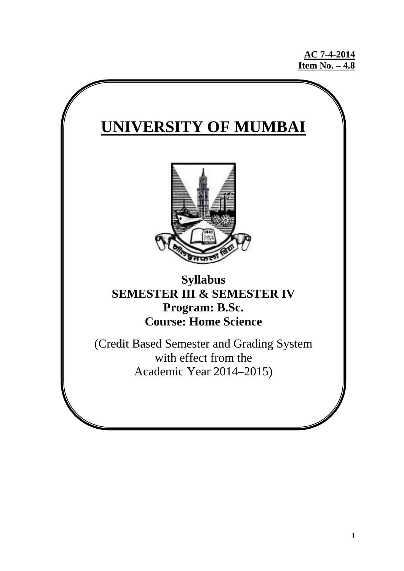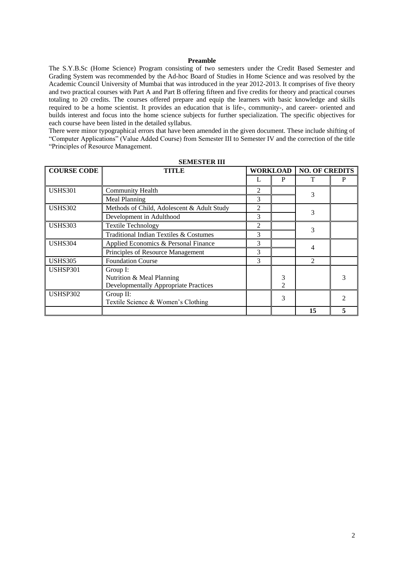#### **Preamble**

The S.Y.B.Sc (Home Science) Program consisting of two semesters under the Credit Based Semester and Grading System was recommended by the Ad-hoc Board of Studies in Home Science and was resolved by the Academic Council University of Mumbai that was introduced in the year 2012-2013. It comprises of five theory and two practical courses with Part A and Part B offering fifteen and five credits for theory and practical courses totaling to 20 credits. The courses offered prepare and equip the learners with basic knowledge and skills required to be a home scientist. It provides an education that is life-, community-, and career- oriented and builds interest and focus into the home science subjects for further specialization. The specific objectives for each course have been listed in the detailed syllabus.

There were minor typographical errors that have been amended in the given document. These include shifting of "Computer Applications" (Value Added Course) from Semester III to Semester IV and the correction of the title "Principles of Resource Management.

| <b>COURSE CODE</b> | TITLE                                        |   | <b>WORKLOAD</b> | <b>NO. OF CREDITS</b> |   |  |
|--------------------|----------------------------------------------|---|-----------------|-----------------------|---|--|
|                    |                                              |   | P               |                       | P |  |
| <b>USHS301</b>     | <b>Community Health</b>                      | 2 |                 | 3                     |   |  |
|                    | Meal Planning                                | 3 |                 |                       |   |  |
| <b>USHS302</b>     | Methods of Child, Adolescent & Adult Study   | 2 |                 | 3                     |   |  |
|                    | Development in Adulthood                     | 3 |                 |                       |   |  |
| <b>USHS303</b>     | <b>Textile Technology</b>                    | 2 |                 | 3                     |   |  |
|                    | Traditional Indian Textiles & Costumes       | 3 |                 |                       |   |  |
| <b>USHS304</b>     | Applied Economics & Personal Finance         | 3 |                 |                       |   |  |
|                    | Principles of Resource Management            | 3 |                 |                       |   |  |
| <b>USHS305</b>     | <b>Foundation Course</b>                     | 3 |                 | $\overline{2}$        |   |  |
| USHSP301           | Group I:                                     |   |                 |                       |   |  |
|                    | Nutrition & Meal Planning                    |   | 3               |                       |   |  |
|                    | <b>Developmentally Appropriate Practices</b> |   | 2               |                       |   |  |
| USHSP302           | Group II:                                    |   | 3               |                       |   |  |
|                    | Textile Science & Women's Clothing           |   |                 |                       |   |  |
|                    |                                              |   |                 | 15                    |   |  |

**SEMESTER III**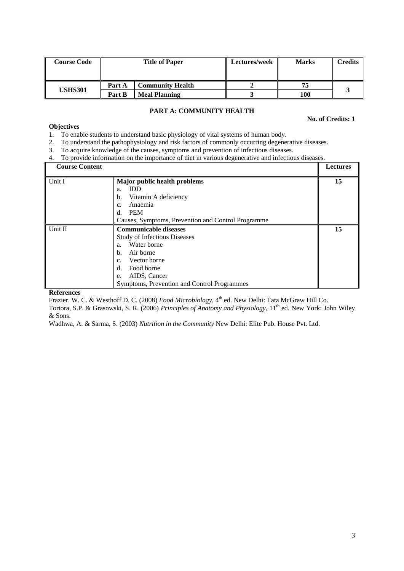| <b>Course Code</b> |        | <b>Title of Paper</b>   | Lectures/week | <b>Marks</b> | <b>Credits</b> |
|--------------------|--------|-------------------------|---------------|--------------|----------------|
|                    | Part A | <b>Community Health</b> |               |              |                |
| <b>USHS301</b>     | Part B | <b>Meal Planning</b>    |               | 100          |                |

# **PART A: COMMUNITY HEALTH**

**No. of Credits: 1**

# **Objectives**

- 1. To enable students to understand basic physiology of vital systems of human body.
- 2. To understand the pathophysiology and risk factors of commonly occurring degenerative diseases.
- 3. To acquire knowledge of the causes, symptoms and prevention of infectious diseases.
- 4. To provide information on the importance of diet in various degenerative and infectious diseases.

| <b>Course Content</b> |                                                    | <b>Lectures</b> |
|-----------------------|----------------------------------------------------|-----------------|
| Unit I                | Major public health problems                       | 15              |
|                       | <b>IDD</b><br>a.                                   |                 |
|                       | Vitamin A deficiency<br>b.                         |                 |
|                       | Anaemia<br>c.                                      |                 |
|                       | <b>PEM</b><br>d.                                   |                 |
|                       | Causes, Symptoms, Prevention and Control Programme |                 |
| Unit II               | <b>Communicable diseases</b>                       | 15              |
|                       | <b>Study of Infectious Diseases</b>                |                 |
|                       | Water borne<br>a <sub>1</sub>                      |                 |
|                       | Air borne<br>b.                                    |                 |
|                       | Vector borne<br>c.                                 |                 |
|                       | Food borne<br>d.                                   |                 |
|                       | AIDS, Cancer<br>e.                                 |                 |
|                       | Symptoms, Prevention and Control Programmes        |                 |

**References**

Frazier. W. C. & Westhoff D. C. (2008) *Food Microbiology*, 4<sup>th</sup> ed. New Delhi: Tata McGraw Hill Co.

Tortora, S.P. & Grasowski, S. R. (2006) *Principles of Anatomy and Physiology*, 11th ed. New York: John Wiley & Sons.

Wadhwa, A. & Sarma, S. (2003) *Nutrition in the Community* New Delhi: Elite Pub. House Pvt. Ltd.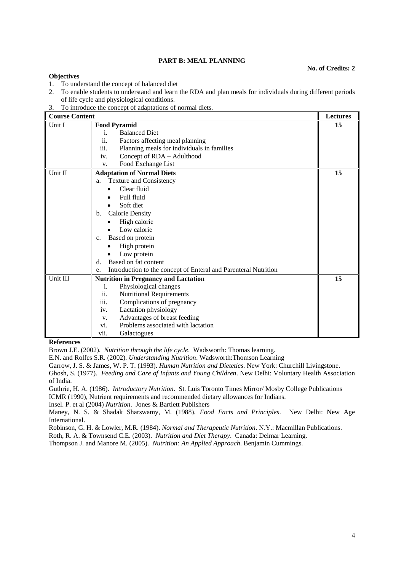# **PART B: MEAL PLANNING**

#### **No. of Credits: 2**

### **Objectives**

- 1. To understand the concept of balanced diet
- 2. To enable students to understand and learn the RDA and plan meals for individuals during different periods of life cycle and physiological conditions.
- 3. To introduce the concept of adaptations of normal diets.

| <b>Course Content</b> |                                                                       | <b>Lectures</b> |
|-----------------------|-----------------------------------------------------------------------|-----------------|
| Unit I                | <b>Food Pyramid</b>                                                   | 15              |
|                       | <b>Balanced Diet</b><br>i.                                            |                 |
|                       | ii.<br>Factors affecting meal planning                                |                 |
|                       | iii.<br>Planning meals for individuals in families                    |                 |
|                       | Concept of RDA - Adulthood<br>iv.                                     |                 |
|                       | Food Exchange List<br>v.                                              |                 |
| Unit II               | <b>Adaptation of Normal Diets</b>                                     | 15              |
|                       | <b>Texture and Consistency</b><br>a.                                  |                 |
|                       | Clear fluid                                                           |                 |
|                       | Full fluid                                                            |                 |
|                       | Soft diet                                                             |                 |
|                       | <b>Calorie Density</b><br>$\mathbf b$ .                               |                 |
|                       | High calorie                                                          |                 |
|                       | Low calorie                                                           |                 |
|                       | Based on protein<br>$C_{\star}$                                       |                 |
|                       | High protein                                                          |                 |
|                       | Low protein                                                           |                 |
|                       | Based on fat content<br>d.                                            |                 |
|                       | Introduction to the concept of Enteral and Parenteral Nutrition<br>e. |                 |
| Unit III              | <b>Nutrition in Pregnancy and Lactation</b>                           | 15              |
|                       | i.<br>Physiological changes                                           |                 |
|                       | ii.<br><b>Nutritional Requirements</b>                                |                 |
|                       | iii.<br>Complications of pregnancy                                    |                 |
|                       | Lactation physiology<br>iv.                                           |                 |
|                       | Advantages of breast feeding<br>V.                                    |                 |
|                       | Problems associated with lactation<br>vi.                             |                 |
|                       | vii.<br>Galactogues                                                   |                 |

#### **References**

Brown J.E. (2002). *Nutrition through the life cycle*. Wadsworth: Thomas learning.

E.N. and Rolfes S.R. (2002). *Understanding Nutrition*. Wadsworth:Thomson Learning

Garrow, J. S. & James, W. P. T. (1993). *Human Nutrition and Dietetics*. New York: Churchill Livingstone.

Ghosh, S. (1977). *Feeding and Care of Infants and Young Children*. New Delhi: Voluntary Health Association of India.

Guthrie, H. A. (1986). *Introductory Nutrition*. St. Luis Toronto Times Mirror/ Mosby College Publications ICMR (1990), Nutrient requirements and recommended dietary allowances for Indians.

Insel. P. et al (2004) *Nutrition*. Jones & Bartlett Publishers

Maney, N. S. & Shadak Sharswamy, M. (1988). *Food Facts and Principles*. New Delhi: New Age International.

Robinson, G. H. & Lowler, M.R. (1984). *Normal and Therapeutic Nutrition*. N.Y.: Macmillan Publications.

Roth, R. A. & Townsend C.E. (2003). *Nutrition and Diet Therapy*. Canada: Delmar Learning.

Thompson J. and Manore M. (2005). *Nutrition: An Applied Approach*. Benjamin Cummings.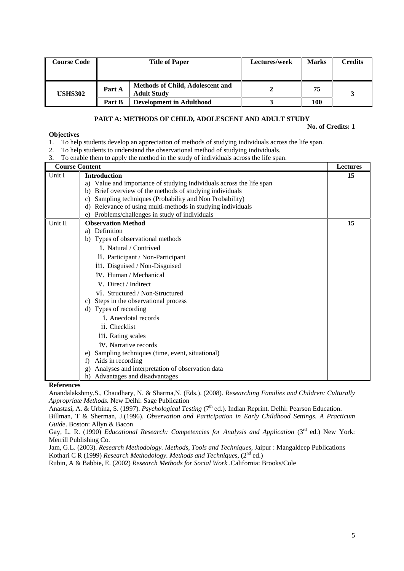| <b>Course Code</b> |        | <b>Title of Paper</b>                                         | Lectures/week | <b>Marks</b> | Credits |
|--------------------|--------|---------------------------------------------------------------|---------------|--------------|---------|
| <b>USHS302</b>     | Part A | <b>Methods of Child, Adolescent and</b><br><b>Adult Study</b> |               | 75           |         |
|                    | Part B | <b>Development in Adulthood</b>                               |               | 100          |         |

# **PART A: METHODS OF CHILD, ADOLESCENT AND ADULT STUDY**

**No. of Credits: 1**

## **Objectives**

- 1. To help students develop an appreciation of methods of studying individuals across the life span.
- 2. To help students to understand the observational method of studying individuals.
- 3. To enable them to apply the method in the study of individuals across the life span.

| <b>Course Content</b> |                                                                      | <b>Lectures</b> |
|-----------------------|----------------------------------------------------------------------|-----------------|
| Unit I                | <b>Introduction</b>                                                  | 15              |
|                       | a) Value and importance of studying individuals across the life span |                 |
|                       | Brief overview of the methods of studying individuals<br>b)          |                 |
|                       | Sampling techniques (Probability and Non Probability)<br>C)          |                 |
|                       | Relevance of using multi-methods in studying individuals<br>d)       |                 |
|                       | Problems/challenges in study of individuals<br>e)                    |                 |
| Unit II               | <b>Observation Method</b>                                            | 15              |
|                       | Definition<br>a)                                                     |                 |
|                       | Types of observational methods<br>b)                                 |                 |
|                       | i. Natural / Contrived                                               |                 |
|                       | ii. Participant / Non-Participant                                    |                 |
|                       | iii. Disguised / Non-Disguised                                       |                 |
|                       | iv. Human / Mechanical                                               |                 |
|                       | V. Direct / Indirect                                                 |                 |
|                       | vi. Structured / Non-Structured                                      |                 |
|                       | Steps in the observational process<br>C)                             |                 |
|                       | Types of recording<br>d)                                             |                 |
|                       | <i>i</i> . Anecdotal records                                         |                 |
|                       | ii. Checklist                                                        |                 |
|                       | iii. Rating scales                                                   |                 |
|                       | <i>iv.</i> Narrative records                                         |                 |
|                       | Sampling techniques (time, event, situational)<br>e)                 |                 |
|                       | Aids in recording<br>f)                                              |                 |
|                       | Analyses and interpretation of observation data<br>g)                |                 |
|                       | Advantages and disadvantages<br>h)                                   |                 |

#### **References**

Anandalakshmy,S., Chaudhary, N. & Sharma,N. (Eds.). (2008). *Researching Families and Children: Culturally Appropriate Methods.* New Delhi: Sage Publication

Anastasi, A. & Urbina, S. (1997). *Psychological Testing* (7<sup>th</sup> ed.). Indian Reprint. Delhi: Pearson Education.

Billman, T & Sherman, J.(1996). *Observation and Participation in Early Childhood Settings. A Practicum Guide*. Boston: Allyn & Bacon

Gay, L. R. (1990) *Educational Research: Competencies for Analysis and Application* (3<sup>rd</sup> ed.) New York: Merrill Publishing Co.

Jam, G.L. (2003). *Research Methodology. Methods, Tools and Techniques*, Jaipur : Mangaldeep Publications Kothari C R (1999) *Research Methodology. Methods and Techniques*, (2<sup>nd</sup> ed.)

Rubin, A & Babbie, E. (2002) *Research Methods for Social Work* .California: Brooks/Cole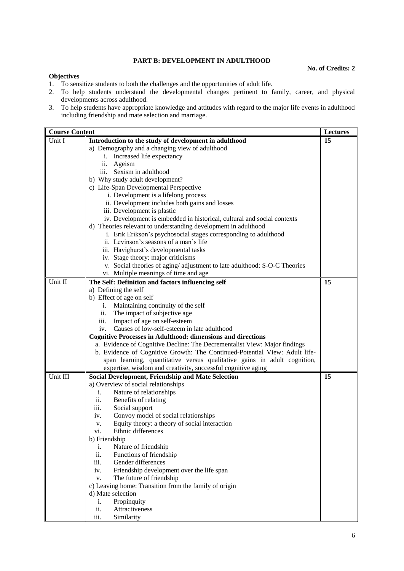# **PART B: DEVELOPMENT IN ADULTHOOD**

#### **No. of Credits: 2**

### **Objectives**

- 1. To sensitize students to both the challenges and the opportunities of adult life.
- 2. To help students understand the developmental changes pertinent to family, career, and physical developments across adulthood.
- 3. To help students have appropriate knowledge and attitudes with regard to the major life events in adulthood including friendship and mate selection and marriage.

| <b>Course Content</b> |                                                                            | Lectures |
|-----------------------|----------------------------------------------------------------------------|----------|
| Unit I                | Introduction to the study of development in adulthood                      | 15       |
|                       | a) Demography and a changing view of adulthood                             |          |
|                       | Increased life expectancy<br>i.                                            |          |
|                       | ii.<br>Ageism                                                              |          |
|                       | iii. Sexism in adulthood                                                   |          |
|                       | b) Why study adult development?                                            |          |
|                       | c) Life-Span Developmental Perspective                                     |          |
|                       | i. Development is a lifelong process                                       |          |
|                       | ii. Development includes both gains and losses                             |          |
|                       | iii. Development is plastic                                                |          |
|                       | iv. Development is embedded in historical, cultural and social contexts    |          |
|                       | d) Theories relevant to understanding development in adulthood             |          |
|                       | i. Erik Erikson's psychosocial stages corresponding to adulthood           |          |
|                       | ii. Levinson's seasons of a man's life                                     |          |
|                       | iii. Havighurst's developmental tasks                                      |          |
|                       | iv. Stage theory: major criticisms                                         |          |
|                       | v. Social theories of aging/adjustment to late adulthood: S-O-C Theories   |          |
|                       | vi. Multiple meanings of time and age                                      |          |
| Unit II               | The Self: Definition and factors influencing self                          | 15       |
|                       | a) Defining the self                                                       |          |
|                       | b) Effect of age on self                                                   |          |
|                       | Maintaining continuity of the self<br>i.                                   |          |
|                       | ii.<br>The impact of subjective age                                        |          |
|                       | iii.<br>Impact of age on self-esteem                                       |          |
|                       | Causes of low-self-esteem in late adulthood<br>iv.                         |          |
|                       | <b>Cognitive Processes in Adulthood: dimensions and directions</b>         |          |
|                       | a. Evidence of Cognitive Decline: The Decrementalist View: Major findings  |          |
|                       | b. Evidence of Cognitive Growth: The Continued-Potential View: Adult life- |          |
|                       | span learning, quantitative versus qualitative gains in adult cognition,   |          |
|                       | expertise, wisdom and creativity, successful cognitive aging               |          |
| Unit III              | <b>Social Development, Friendship and Mate Selection</b>                   | 15       |
|                       | a) Overview of social relationships                                        |          |
|                       | Nature of relationships<br>i.                                              |          |
|                       | ii.<br>Benefits of relating                                                |          |
|                       | iii.<br>Social support                                                     |          |
|                       | Convoy model of social relationships<br>iv.                                |          |
|                       | Equity theory: a theory of social interaction<br>v.                        |          |
|                       | Ethnic differences<br>vi.                                                  |          |
|                       | b) Friendship                                                              |          |
|                       | Nature of friendship<br>i.                                                 |          |
|                       | ii.<br>Functions of friendship                                             |          |
|                       | Gender differences<br>iii.                                                 |          |
|                       | Friendship development over the life span<br>iv.                           |          |
|                       | The future of friendship<br>V.                                             |          |
|                       | c) Leaving home: Transition from the family of origin                      |          |
|                       | d) Mate selection                                                          |          |
|                       | Propinquity<br>i.                                                          |          |
|                       | ii.<br>Attractiveness                                                      |          |
|                       | Similarity<br>iii.                                                         |          |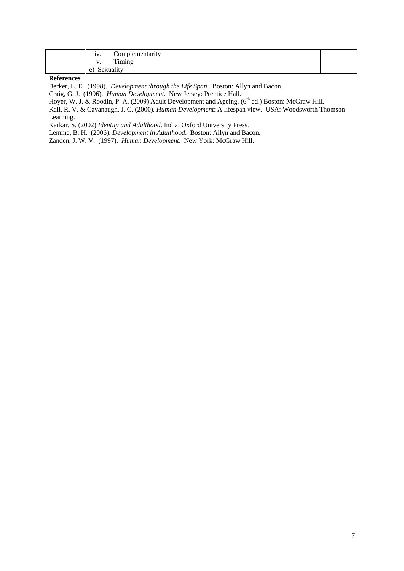| Complementarity<br>iv. |  |
|------------------------|--|
| Timing<br>$\ddotsc$    |  |
| Sexuality<br>e)        |  |

### **References**

Berker, L. E. (1998). *Development through the Life Span*. Boston: Allyn and Bacon.

Craig, G. J. (1996). *Human Development*. New Jersey: Prentice Hall.

Hoyer, W. J. & Roodin, P. A. (2009) Adult Development and Ageing, (6<sup>th</sup> ed.) Boston: McGraw Hill.

Kail, R. V. & Cavanaugh, J. C. (2000). *Human Development*: A lifespan view. USA: Woodsworth Thomson Learning.

Karkar, S. (2002) *Identity and Adulthood*. India: Oxford University Press.

Lemme, B. H. (2006). *Development in Adulthood*. Boston: Allyn and Bacon.

Zanden, J. W. V. (1997). *Human Development*. New York: McGraw Hill.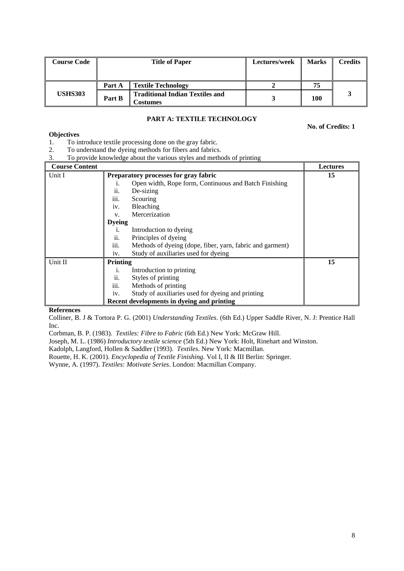| <b>Course Code</b> | <b>Title of Paper</b> |                                                           | Lectures/week | <b>Marks</b> | <b>Credits</b> |
|--------------------|-----------------------|-----------------------------------------------------------|---------------|--------------|----------------|
|                    | Part A                | <b>Textile Technology</b>                                 |               | 75           |                |
| <b>USHS303</b>     | Part B                | <b>Traditional Indian Textiles and</b><br><b>Costumes</b> |               | 100          |                |

# **PART A: TEXTILE TECHNOLOGY**

**No. of Credits: 1**

# **Objectives**

- 1. To introduce textile processing done on the gray fabric.
- 2. To understand the dyeing methods for fibers and fabrics.
- 3. To provide knowledge about the various styles and methods of printing

| <b>Course Content</b> |                 |                                                           | <b>Lectures</b> |
|-----------------------|-----------------|-----------------------------------------------------------|-----------------|
| Unit I                |                 | Preparatory processes for gray fabric                     | 15              |
|                       |                 | Open width, Rope form, Continuous and Batch Finishing     |                 |
|                       | ii.             | De-sizing                                                 |                 |
|                       | iii.            | Scouring                                                  |                 |
|                       | iv.             | Bleaching                                                 |                 |
|                       | V.              | Mercerization                                             |                 |
|                       | <b>Dyeing</b>   |                                                           |                 |
|                       | 1.              | Introduction to dyeing                                    |                 |
|                       | ii.             | Principles of dyeing                                      |                 |
|                       | iii.            | Methods of dyeing (dope, fiber, yarn, fabric and garment) |                 |
|                       | iv.             | Study of auxiliaries used for dyeing                      |                 |
| Unit II               | <b>Printing</b> |                                                           | 15              |
|                       | 1.              | Introduction to printing                                  |                 |
|                       | ii.             | Styles of printing                                        |                 |
|                       | iii.            | Methods of printing                                       |                 |
|                       | iv.             | Study of auxiliaries used for dyeing and printing         |                 |
|                       |                 | Recent developments in dyeing and printing                |                 |

# **References**

Colliner, B. J & Tortora P. G. (2001) *Understanding Textiles*. (6th Ed.) Upper Saddle River, N. J: Prentice Hall Inc.

Corbman, B. P. (1983). *Textiles: Fibre to Fabric* (6th Ed.) New York: McGraw Hill.

Joseph, M. L. (1986) *Introductory textile science* (5th Ed.) New York: Holt, Rinehart and Winston.

Kadolph, Langford, Hollen & Saddler (1993). *Textiles*. New York: Macmillan.

Rouette, H. K. (2001). *Encyclopedia of Textile Finishing*. Vol I, II & III Berlin: Springer.

Wynne, A. (1997). *Textiles: Motivate Series*. London: Macmillan Company.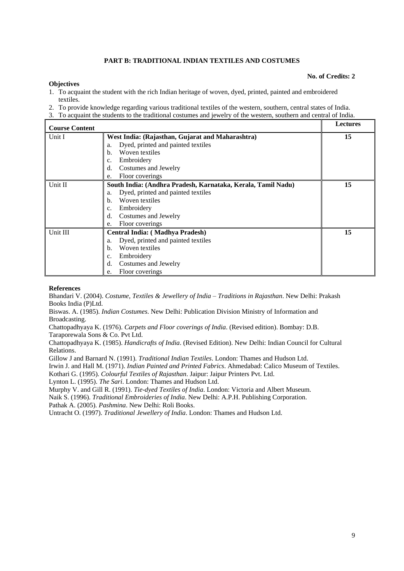# **PART B: TRADITIONAL INDIAN TEXTILES AND COSTUMES**

#### **No. of Credits: 2**

#### **Objectives**

- 1. To acquaint the student with the rich Indian heritage of woven, dyed, printed, painted and embroidered textiles.
- 2. To provide knowledge regarding various traditional textiles of the western, southern, central states of India.
- 3. To acquaint the students to the traditional costumes and jewelry of the western, southern and central of India.

| <b>Course Content</b> |                                                              | <b>Lectures</b> |
|-----------------------|--------------------------------------------------------------|-----------------|
| Unit I                | West India: (Rajasthan, Gujarat and Maharashtra)             | 15              |
|                       | Dyed, printed and painted textiles<br>a.                     |                 |
|                       | Woven textiles<br>$b$                                        |                 |
|                       | Embroidery<br>c.                                             |                 |
|                       | d.<br>Costumes and Jewelry                                   |                 |
|                       | Floor coverings<br>e.                                        |                 |
| Unit II               | South India: (Andhra Pradesh, Karnataka, Kerala, Tamil Nadu) | 15              |
|                       | Dyed, printed and painted textiles<br>a.                     |                 |
|                       | Woven textiles<br>b.                                         |                 |
|                       | Embroidery<br>c.                                             |                 |
|                       | d.<br>Costumes and Jewelry                                   |                 |
|                       | Floor coverings<br>e.                                        |                 |
| Unit III              | Central India: (Madhya Pradesh)                              | 15              |
|                       | Dyed, printed and painted textiles<br>a.                     |                 |
|                       | Woven textiles<br>b.                                         |                 |
|                       | Embroidery<br>c.                                             |                 |
|                       | Costumes and Jewelry<br>d.                                   |                 |
|                       | Floor coverings<br>e.                                        |                 |

#### **References**

Bhandari V. (2004). *Costume, Textiles & Jewellery of India – Traditions in Rajasthan*. New Delhi: Prakash Books India (P)Ltd.

Biswas. A. (1985). *Indian Costumes*. New Delhi: Publication Division Ministry of Information and Broadcasting.

Chattopadhyaya K. (1976). *Carpets and Floor coverings of India*. (Revised edition). Bombay: D.B. Taraporewala Sons & Co. Pvt Ltd.

Chattopadhyaya K. (1985). *Handicrafts of India*. (Revised Edition). New Delhi: Indian Council for Cultural Relations.

Gillow J and Barnard N. (1991). *Traditional Indian Textiles*. London: Thames and Hudson Ltd.

Irwin J. and Hall M. (1971). *Indian Painted and Printed Fabrics*. Ahmedabad: Calico Museum of Textiles.

Kothari G. (1995). *Colourful Textiles of Rajasthan*. Jaipur: Jaipur Printers Pvt. Ltd.

Lynton L. (1995). *The Sari*. London: Thames and Hudson Ltd.

Murphy V. and Gill R. (1991). *Tie-dyed Textiles of India*. London: Victoria and Albert Museum.

Naik S. (1996). *Traditional Embroideries of India*. New Delhi: A.P.H. Publishing Corporation.

Pathak A. (2005). *Pashmina*. New Delhi: Roli Books.

Untracht O. (1997). *Traditional Jewellery of India*. London: Thames and Hudson Ltd.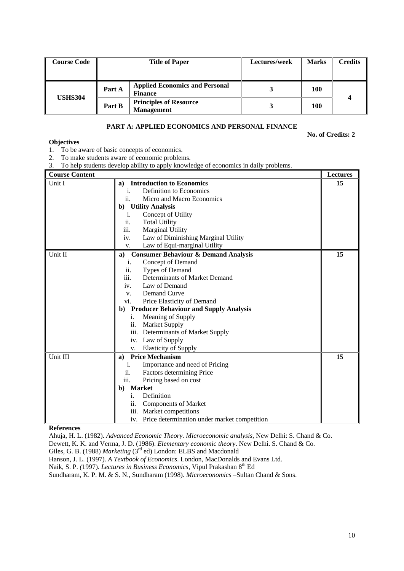| <b>Course Code</b> | <b>Title of Paper</b> |                                                         | Lectures/week | <b>Marks</b> | <b>Credits</b> |
|--------------------|-----------------------|---------------------------------------------------------|---------------|--------------|----------------|
|                    |                       |                                                         |               |              |                |
| <b>USHS304</b>     | Part A                | <b>Applied Economics and Personal</b><br><b>Finance</b> |               | 100          |                |
|                    | Part B                | <b>Principles of Resource</b><br><b>Management</b>      |               | 100          |                |

### **PART A: APPLIED ECONOMICS AND PERSONAL FINANCE**

**No. of Credits: 2**

#### **Objectives**

1. To be aware of basic concepts of economics.

- 2. To make students aware of economic problems.
- 3. To help students develop ability to apply knowledge of economics in daily problems.

#### **Course Content Lectures** Unit I **a**) **Introduction to Economics** i. Definition to Economics ii. Micro and Macro Economics **b) Utility Analysis** i. Concept of Utility ii. Total Utility iii. Marginal Utility iv. Law of Diminishing Marginal Utility v. Law of Equi-marginal Utility **15** Unit II **a) Consumer Behaviour & Demand Analysis** i. Concept of Demand ii. Types of Demand iii. Determinants of Market Demand iv. Law of Demand v. Demand Curve vi. Price Elasticity of Demand **b) Producer Behaviour and Supply Analysis** i. Meaning of Supply ii. Market Supply iii. Determinants of Market Supply iv. Law of Supply v. Elasticity of Supply **15** Unit III **a) Price Mechanism** i. Importance and need of Pricing ii. Factors determining Price iii. Pricing based on cost **b) Market** i. Definition ii. Components of Market iii. Market competitions iv. Price determination under market competition **15**

#### **References**

Ahuja, H. L. (1982). *Advanced Economic Theory. Microeconomic analysis*, New Delhi: S. Chand & Co.

Dewett, K. K. and Verma, J. D. (1986). *Elementary economic theory*. New Delhi. S. Chand & Co.

Giles, G. B. (1988) *Marketing* (3<sup>rd</sup> ed) London: ELBS and Macdonald

Hanson, J. L. (1997). *A Textbook of Economics*. London, MacDonalds and Evans Ltd.

Naik, S. P. (1997). *Lectures in Business Economics*, Vipul Prakashan 8<sup>th</sup> Ed

Sundharam, K. P. M. & S. N., Sundharam (1998). *Microeconomics* –Sultan Chand & Sons.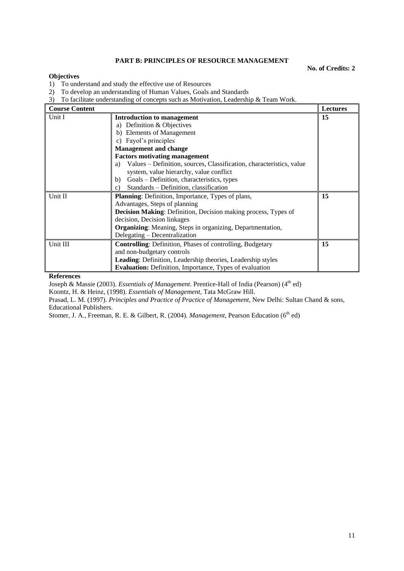# **PART B: PRINCIPLES OF RESOURCE MANAGEMENT**

**No. of Credits: 2**

## **Objectives**

1) To understand and study the effective use of Resources

2) To develop an understanding of Human Values, Goals and Standards

3) To facilitate understanding of concepts such as Motivation, Leadership & Team Work.

| <b>Course Content</b> |                                                                            | <b>Lectures</b> |
|-----------------------|----------------------------------------------------------------------------|-----------------|
| Unit I                | Introduction to management                                                 | 15              |
|                       | a) Definition & Objectives                                                 |                 |
|                       | b) Elements of Management                                                  |                 |
|                       | Fayol's principles<br>C)                                                   |                 |
|                       | <b>Management and change</b>                                               |                 |
|                       | <b>Factors motivating management</b>                                       |                 |
|                       | Values – Definition, sources, Classification, characteristics, value<br>a) |                 |
|                       | system, value hierarchy, value conflict                                    |                 |
|                       | Goals – Definition, characteristics, types<br>b)                           |                 |
|                       | Standards - Definition, classification<br>$\mathcal{C}$ )                  |                 |
| Unit II               | <b>Planning:</b> Definition, Importance, Types of plans,                   | 15              |
|                       | Advantages, Steps of planning                                              |                 |
|                       | <b>Decision Making:</b> Definition, Decision making process, Types of      |                 |
|                       | decision, Decision linkages                                                |                 |
|                       | <b>Organizing:</b> Meaning, Steps in organizing, Departmentation,          |                 |
|                       | Delegating – Decentralization                                              |                 |
| Unit III              | <b>Controlling:</b> Definition, Phases of controlling, Budgetary           | 15              |
|                       | and non-budgetary controls                                                 |                 |
|                       | <b>Leading:</b> Definition, Leadership theories, Leadership styles         |                 |
|                       | <b>Evaluation:</b> Definition, Importance, Types of evaluation             |                 |

#### **References**

Joseph & Massie (2003). *Essentials of Management*. Prentice-Hall of India (Pearson) (4<sup>th</sup> ed)

Koontz, H. & Heinz, (1998). *Essentials of Management*, Tata McGraw Hill.

Prasad, L. M. (1997). *Principles and Practice of Practice of Management,* New Delhi: Sultan Chand & sons, Educational Publishers.

Stomer, J. A., Freeman, R. E. & Gilbert, R. (2004). *Management*, Pearson Education (6<sup>th</sup> ed)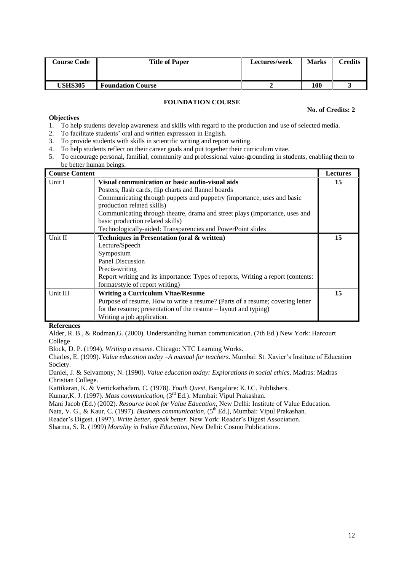| <b>Course Code</b> | <b>Title of Paper</b>    | Lectures/week | <b>Marks</b> | <b>Credits</b> |
|--------------------|--------------------------|---------------|--------------|----------------|
|                    |                          |               |              |                |
| USHS305            | <b>Foundation Course</b> |               | 100          |                |

# **FOUNDATION COURSE**

#### **No. of Credits: 2**

## **Objectives**

- 1. To help students develop awareness and skills with regard to the production and use of selected media.
- 2. To facilitate students' oral and written expression in English.
- 3. To provide students with skills in scientific writing and report writing.
- 4. To help students reflect on their career goals and put together their curriculum vitae.
- 5. To encourage personal, familial, community and professional value-grounding in students, enabling them to be better human beings.

| <b>Course Content</b> |                                                                                                                                                                                                                                                                                                                                                                                                   | <b>Lectures</b> |
|-----------------------|---------------------------------------------------------------------------------------------------------------------------------------------------------------------------------------------------------------------------------------------------------------------------------------------------------------------------------------------------------------------------------------------------|-----------------|
| Unit I                | Visual communication or basic audio-visual aids<br>Posters, flash cards, flip charts and flannel boards<br>Communicating through puppets and puppetry (importance, uses and basic<br>production related skills)<br>Communicating through theatre, drama and street plays (importance, uses and<br>basic production related skills)<br>Technologically-aided: Transparencies and PowerPoint slides | 15              |
| Unit II               | Techniques in Presentation (oral & written)<br>Lecture/Speech<br>Symposium<br>Panel Discussion<br>Precis-writing<br>Report writing and its importance: Types of reports, Writing a report (contents:<br>format/style of report writing)                                                                                                                                                           | 15              |
| Unit III              | <b>Writing a Curriculum Vitae/Resume</b><br>Purpose of resume, How to write a resume? (Parts of a resume; covering letter<br>for the resume; presentation of the resume – layout and typing)<br>Writing a job application.                                                                                                                                                                        | 15              |

#### **References**

Alder, R. B., & Rodman,G. (2000). Understanding human communication. (7th Ed.) New York: Harcourt College

Block, D. P. (1994). *Writing a resume*. Chicago: NTC Learning Works.

Charles, E. (1999). *Value education today –A manual for teachers*. Mumbai: St. Xavier's Institute of Education Society.

Daniel, J. & Selvamony, N. (1990). *Value education today: Explorations in social ethics*, Madras: Madras Christian College.

Kattikaran, K. & Vettickathadam, C. (1978). *Youth Quest,* Bangalore: K.J.C. Publishers.

Kumar, K. J. (1997). *Mass communication*, (3<sup>rd</sup> Ed.). Mumbai: Vipul Prakashan.

Mani Jacob (Ed.) (2002). *Resource book for Value Education,* New Delhi: Institute of Value Education.

Nata, V. G., & Kaur, C. (1997). *Business communication*, (5<sup>th</sup> Ed.), Mumbai: Vipul Prakashan.

Reader's Digest. (1997). *Write better, speak better.* New York: Reader's Digest Association.

Sharma, S. R. (1999) *Morality in Indian Education,* New Delhi: Cosmo Publications.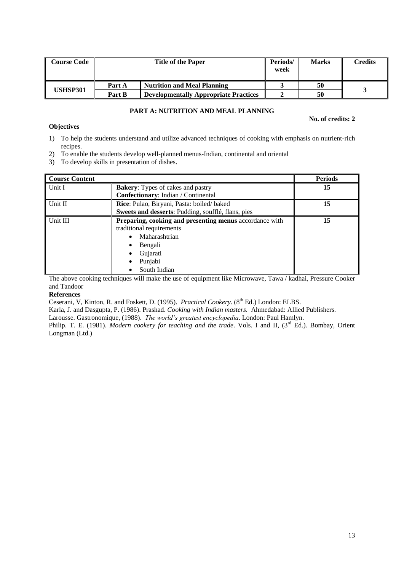| <b>Course Code</b> |        | <b>Title of the Paper</b>                    | Periods/<br>week | <b>Marks</b> | Credits |
|--------------------|--------|----------------------------------------------|------------------|--------------|---------|
|                    | Part A | <b>Nutrition and Meal Planning</b>           |                  | 50           |         |
| USHSP301           | Part B | <b>Developmentally Appropriate Practices</b> |                  | 50           |         |

# **PART A: NUTRITION AND MEAL PLANNING**

### **No. of credits: 2**

### **Objectives**

- 1) To help the students understand and utilize advanced techniques of cooking with emphasis on nutrient-rich recipes.
- 2) To enable the students develop well-planned menus-Indian, continental and oriental
- 3) To develop skills in presentation of dishes.

| <b>Course Content</b> |                                                         | <b>Periods</b> |
|-----------------------|---------------------------------------------------------|----------------|
| Unit I                | <b>Bakery:</b> Types of cakes and pastry                | 15             |
|                       | Confectionary: Indian / Continental                     |                |
| Unit II               | <b>Rice:</b> Pulao, Biryani, Pasta: boiled/baked        | 15             |
|                       | Sweets and desserts: Pudding, soufflé, flans, pies      |                |
| Unit III              | Preparing, cooking and presenting menus accordance with | 15             |
|                       | traditional requirements                                |                |
|                       | Maharashtrian                                           |                |
|                       | Bengali                                                 |                |
|                       | Gujarati                                                |                |
|                       | Punjabi                                                 |                |
|                       | South Indian                                            |                |

The above cooking techniques will make the use of equipment like Microwave, Tawa / kadhai, Pressure Cooker and Tandoor

# **References**

Ceserani, V, Kinton, R. and Foskett, D. (1995). *Practical Cookery.* (8<sup>th</sup> Ed.) London: ELBS.

Karla, J. and Dasgupta, P. (1986). Prashad. *Cooking with Indian masters*. Ahmedabad: Allied Publishers. Larousse. Gastronomique, (1988). *The world's greatest encyclopedia*. London: Paul Hamlyn.

Philip. T. E. (1981). *Modern cookery for teaching and the trade*. Vols. I and II, (3<sup>rd</sup> Ed.). Bombay, Orient Longman (Ltd.)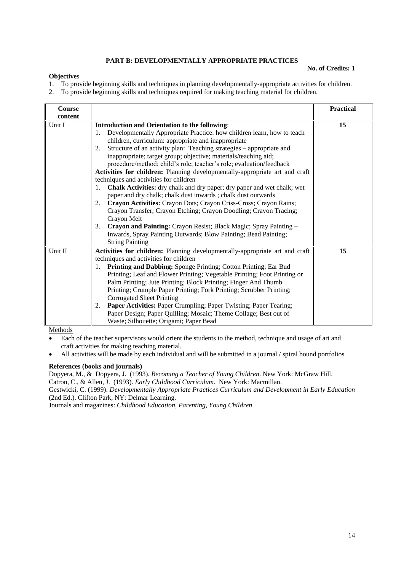# **PART B: DEVELOPMENTALLY APPROPRIATE PRACTICES**

## **Objective**s

#### **No. of Credits: 1**

- 1. To provide beginning skills and techniques in planning developmentally-appropriate activities for children.
- 2. To provide beginning skills and techniques required for making teaching material for children.

| <b>Course</b><br>content |                                                                                                                                                                                                                                                                                                                                                                                                                                                                                                                                                                                                                                                                                                                                                                                                                                                                                                                                                                                                                                              | <b>Practical</b> |
|--------------------------|----------------------------------------------------------------------------------------------------------------------------------------------------------------------------------------------------------------------------------------------------------------------------------------------------------------------------------------------------------------------------------------------------------------------------------------------------------------------------------------------------------------------------------------------------------------------------------------------------------------------------------------------------------------------------------------------------------------------------------------------------------------------------------------------------------------------------------------------------------------------------------------------------------------------------------------------------------------------------------------------------------------------------------------------|------------------|
| Unit I                   | <b>Introduction and Orientation to the following:</b><br>Developmentally Appropriate Practice: how children learn, how to teach<br>1.<br>children, curriculum: appropriate and inappropriate<br>Structure of an activity plan: Teaching strategies – appropriate and<br>2.<br>inappropriate; target group; objective; materials/teaching aid;<br>procedure/method; child's role; teacher's role; evaluation/feedback<br>Activities for children: Planning developmentally-appropriate art and craft<br>techniques and activities for children<br><b>Chalk Activities:</b> dry chalk and dry paper; dry paper and wet chalk; wet<br>1.<br>paper and dry chalk; chalk dust inwards; chalk dust outwards<br>Crayon Activities: Crayon Dots; Crayon Criss-Cross; Crayon Rains;<br>2.<br>Crayon Transfer; Crayon Etching; Crayon Doodling; Crayon Tracing;<br>Crayon Melt<br>3.<br>Crayon and Painting: Crayon Resist; Black Magic; Spray Painting -<br>Inwards, Spray Painting Outwards; Blow Painting; Bead Painting;<br><b>String Painting</b> | 15               |
| Unit II                  | Activities for children: Planning developmentally-appropriate art and craft<br>techniques and activities for children<br>Printing and Dabbing: Sponge Printing; Cotton Printing; Ear Bud<br>1.<br>Printing; Leaf and Flower Printing; Vegetable Printing; Foot Printing or<br>Palm Printing; Jute Printing; Block Printing; Finger And Thumb<br>Printing; Crumple Paper Printing; Fork Printing; Scrubber Printing;<br><b>Corrugated Sheet Printing</b><br>Paper Activities: Paper Crumpling; Paper Twisting; Paper Tearing;<br>2.<br>Paper Design; Paper Quilling; Mosaic; Theme Collage; Best out of<br>Waste; Silhouette; Origami; Paper Bead                                                                                                                                                                                                                                                                                                                                                                                             | 15               |

**Methods** 

- Each of the teacher supervisors would orient the students to the method, technique and usage of art and craft activities for making teaching material.
- All activities will be made by each individual and will be submitted in a journal / spiral bound portfolios

## **References (books and journals)**

Dopyera, M., & Dopyera, J. (1993). *Becoming a Teacher of Young Children*. New York: McGraw Hill.

Catron, C., & Allen, J. (1993). *Early Childhood Curriculum*. New York: Macmillan.

Gestwicki, C. (1999). *Developmentally Appropriate Practices Curriculum and Development in Early Education*  (2nd Ed.). Clifton Park, NY: Delmar Learning.

Journals and magazines: *Childhood Education, Parenting, Young Children*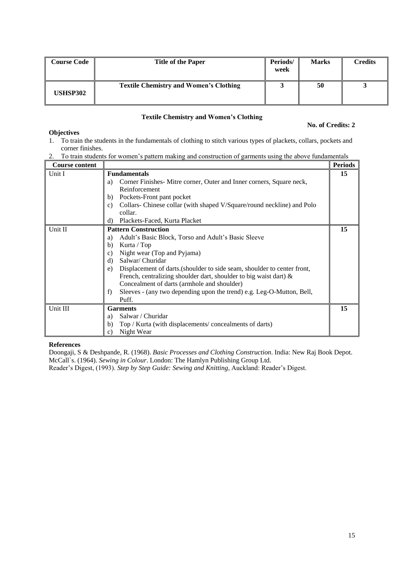| <b>Course Code</b> | <b>Title of the Paper</b>                     | Periods/<br>week | <b>Marks</b> | <b>Credits</b> |
|--------------------|-----------------------------------------------|------------------|--------------|----------------|
| <b>USHSP302</b>    | <b>Textile Chemistry and Women's Clothing</b> |                  | 50           |                |

# **Textile Chemistry and Women's Clothing**

# **No. of Credits: 2**

# **Objectives**

- 1. To train the students in the fundamentals of clothing to stitch various types of plackets, collars, pockets and corner finishes.
- 2. To train students for women's pattern making and construction of garments using the above fundamentals

| <b>Course content</b> |                                                                               | <b>Periods</b> |
|-----------------------|-------------------------------------------------------------------------------|----------------|
| Unit I                | <b>Fundamentals</b>                                                           | 15             |
|                       | Corner Finishes Mitre corner, Outer and Inner corners, Square neck,<br>a)     |                |
|                       | Reinforcement                                                                 |                |
|                       | Pockets-Front pant pocket<br>b)                                               |                |
|                       | Collars-Chinese collar (with shaped V/Square/round neckline) and Polo<br>c)   |                |
|                       | collar.                                                                       |                |
|                       | Plackets-Faced, Kurta Placket<br>d)                                           |                |
| Unit II               | <b>Pattern Construction</b>                                                   | 15             |
|                       | Adult's Basic Block, Torso and Adult's Basic Sleeve<br>a)                     |                |
|                       | Kurta / Top<br>b)                                                             |                |
|                       | Night wear (Top and Pyjama)<br>C)                                             |                |
|                       | Salwar/ Churidar<br>d)                                                        |                |
|                       | Displacement of darts (shoulder to side seam, shoulder to center front,<br>e) |                |
|                       | French, centralizing shoulder dart, shoulder to big waist dart) $\&$          |                |
|                       | Concealment of darts (armhole and shoulder)                                   |                |
|                       | Sleeves - (any two depending upon the trend) e.g. Leg-O-Mutton, Bell,<br>f)   |                |
|                       | Puff.                                                                         |                |
| Unit III              | <b>Garments</b>                                                               | 15             |
|                       | Salwar / Churidar<br>a)                                                       |                |
|                       | Top / Kurta (with displacements/concealments of darts)<br>b)                  |                |
|                       | Night Wear<br>c)                                                              |                |

### **References**

Doongaji, S & Deshpande, R. (1968). *Basic Processes and Clothing Construction*. India: New Raj Book Depot. McCall`s. (1964). *Sewing in Colour*. London: The Hamlyn Publishing Group Ltd. Reader's Digest, (1993). *Step by Step Guide: Sewing and Knitting*, Auckland: Reader's Digest.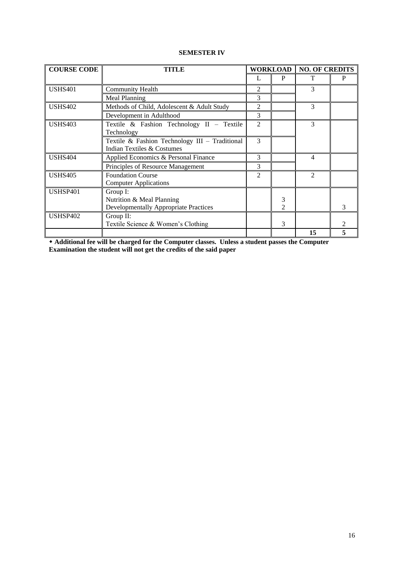# **SEMESTER IV**

| <b>COURSE CODE</b> | <b>WORKLOAD</b><br><b>NO. OF CREDITS</b><br><b>TITLE</b>                              |                |                     |                |   |
|--------------------|---------------------------------------------------------------------------------------|----------------|---------------------|----------------|---|
|                    |                                                                                       |                | P                   | т              | P |
| <b>USHS401</b>     | <b>Community Health</b>                                                               | 2              |                     | 3              |   |
|                    | Meal Planning                                                                         | 3              |                     |                |   |
| <b>USHS402</b>     | Methods of Child, Adolescent & Adult Study                                            | 2              |                     | 3              |   |
|                    | Development in Adulthood                                                              | 3              |                     |                |   |
| <b>USHS403</b>     | Textile & Fashion Technology II - Textile<br>Technology                               | $\overline{c}$ |                     | 3              |   |
|                    | Textile & Fashion Technology III - Traditional<br>Indian Textiles & Costumes          | 3              |                     |                |   |
| <b>USHS404</b>     | Applied Economics & Personal Finance                                                  | 3              |                     | 4              |   |
|                    | Principles of Resource Management                                                     | 3              |                     |                |   |
| <b>USHS405</b>     | <b>Foundation Course</b><br><b>Computer Applications</b>                              |                |                     | $\overline{2}$ |   |
| USHSP401           | Group I:<br>Nutrition & Meal Planning<br><b>Developmentally Appropriate Practices</b> |                | 3<br>$\mathfrak{D}$ |                | 3 |
| USHSP402           | Group II:<br>Textile Science & Women's Clothing                                       |                | 3                   |                |   |
|                    |                                                                                       |                |                     | 15             | 5 |

 **Additional fee will be charged for the Computer classes. Unless a student passes the Computer Examination the student will not get the credits of the said paper**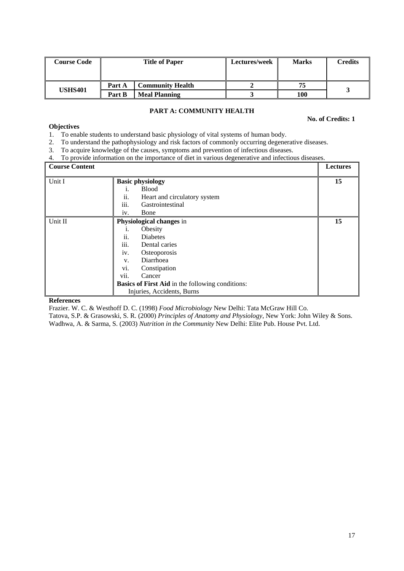| <b>Course Code</b> | <b>Title of Paper</b> |                         | Lectures/week | <b>Marks</b> | Credits |
|--------------------|-----------------------|-------------------------|---------------|--------------|---------|
|                    | Part A                | <b>Community Health</b> |               | 75           |         |
| <b>USHS401</b>     | Part B                | <b>Meal Planning</b>    |               | 100          |         |

# **PART A: COMMUNITY HEALTH**

**No. of Credits: 1**

# **Objectives**

- 1. To enable students to understand basic physiology of vital systems of human body.
- 2. To understand the pathophysiology and risk factors of commonly occurring degenerative diseases.
- 3. To acquire knowledge of the causes, symptoms and prevention of infectious diseases.
- 4. To provide information on the importance of diet in various degenerative and infectious diseases.

| <b>Course Content</b> |                  |                                                         | Lectures |
|-----------------------|------------------|---------------------------------------------------------|----------|
| Unit I                |                  | <b>Basic physiology</b>                                 | 15       |
|                       | 1.               | <b>Blood</b>                                            |          |
|                       | ii.              | Heart and circulatory system                            |          |
|                       | $\cdots$<br>111. | Gastrointestinal                                        |          |
|                       | iv.              | Bone                                                    |          |
| Unit II               |                  | Physiological changes in                                | 15       |
|                       | 1.               | Obesity                                                 |          |
|                       | ii.              | <b>Diabetes</b>                                         |          |
|                       | iii.             | Dental caries                                           |          |
|                       | iv.              | Osteoporosis                                            |          |
|                       | V.               | Diarrhoea                                               |          |
|                       | V1.              | Constipation                                            |          |
|                       | vii.             | Cancer                                                  |          |
|                       |                  | <b>Basics of First Aid in the following conditions:</b> |          |
|                       |                  | Injuries, Accidents, Burns                              |          |

#### **References**

Frazier. W. C. & Westhoff D. C. (1998) *Food Microbiology* New Delhi: Tata McGraw Hill Co.

Tatova, S.P. & Grasowski, S. R. (2000) *Principles of Anatomy and Physiology*, New York: John Wiley & Sons. Wadhwa, A. & Sarma, S. (2003) *Nutrition in the Community* New Delhi: Elite Pub. House Pvt. Ltd.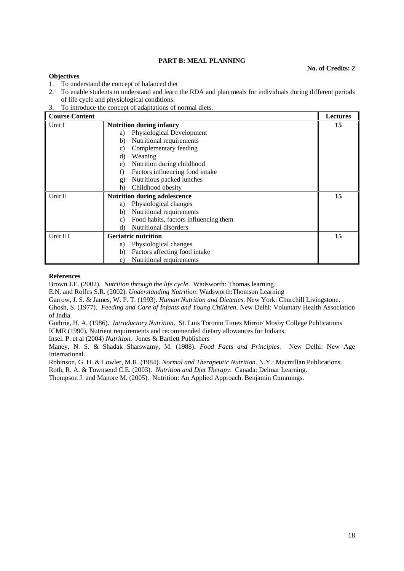# **PART B: MEAL PLANNING**

#### **No. of Credits: 2**

#### **Objectives**

- 1. To understand the concept of balanced diet
- 2. To enable students to understand and learn the RDA and plan meals for individuals during different periods of life cycle and physiological conditions.
- 3. To introduce the concept of adaptations of normal diets.

| <b>Course Content</b> |                                                       | <b>Lectures</b> |
|-----------------------|-------------------------------------------------------|-----------------|
| Unit I                | <b>Nutrition during infancy</b>                       | 15              |
|                       | Physiological Development<br>a)                       |                 |
|                       | Nutritional requirements<br>b)                        |                 |
|                       | Complementary feeding<br>C)                           |                 |
|                       | d)<br>Weaning                                         |                 |
|                       | Nutrition during childhood<br>e)                      |                 |
|                       | Factors influencing food intake<br>f)                 |                 |
|                       | Nutritious packed lunches<br>g)                       |                 |
|                       | Childhood obesity<br>h)                               |                 |
| Unit II               | <b>Nutrition during adolescence</b>                   | 15              |
|                       | Physiological changes<br>a)                           |                 |
|                       | Nutritional requirements<br>b)                        |                 |
|                       | Food habits, factors influencing them<br>$\mathbf{c}$ |                 |
|                       | Nutritional disorders<br>d)                           |                 |
| Unit III              | <b>Geriatric nutrition</b>                            | 15              |
|                       | Physiological changes<br>a)                           |                 |
|                       | Factors affecting food intake<br>b)                   |                 |
|                       | Nutritional requirements<br>C)                        |                 |

#### **References**

Brown J.E. (2002). *Nutrition through the life cycle*. Wadsworth: Thomas learning.

E.N. and Rolfes S.R. (2002). *Understanding Nutrition*. Wadsworth:Thomson Learning

Garrow, J. S. & James, W. P. T. (1993). *Human Nutrition and Dietetics*. New York: Churchill Livingstone.

Ghosh, S. (1977). *Feeding and Care of Infants and Young Children*. New Delhi: Voluntary Health Association of India.

Guthrie, H. A. (1986). *Introductory Nutrition*. St. Luis Toronto Times Mirror/ Mosby College Publications ICMR (1990), Nutrient requirements and recommended dietary allowances for Indians.

Insel. P. et al (2004) *Nutrition*. Jones & Bartlett Publishers

Maney, N. S. & Shadak Sharswamy, M. (1988). *Food Facts and Principles*. New Delhi: New Age International.

Robinson, G. H. & Lowler, M.R. (1984). *Normal and Therapeutic Nutrition*. N.Y.: Macmillan Publications.

Roth, R. A. & Townsend C.E. (2003). *Nutrition and Diet Therapy*. Canada: Delmar Learning.

Thompson J. and Manore M. (2005). Nutrition: An Applied Approach. Benjamin Cummings.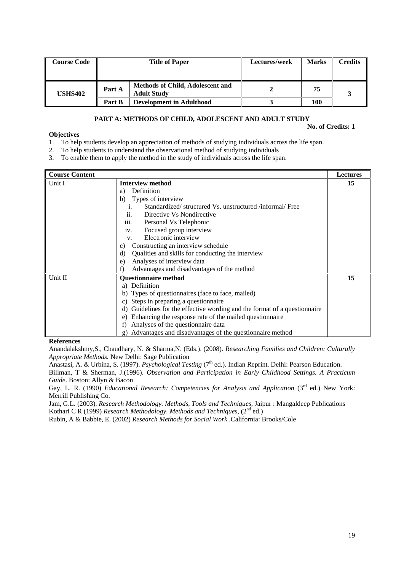| <b>Course Code</b> |        | <b>Title of Paper</b>                                  | Lectures/week | <b>Marks</b> | <b>Credits</b> |
|--------------------|--------|--------------------------------------------------------|---------------|--------------|----------------|
| <b>USHS402</b>     | Part A | Methods of Child, Adolescent and<br><b>Adult Study</b> |               | 75           |                |
|                    | Part B | <b>Development in Adulthood</b>                        |               | 100          |                |

# **PART A: METHODS OF CHILD, ADOLESCENT AND ADULT STUDY**

**No. of Credits: 1**

# **Objectives**

- 1. To help students develop an appreciation of methods of studying individuals across the life span.
- 2. To help students to understand the observational method of studying individuals
- 3. To enable them to apply the method in the study of individuals across the life span.

| <b>Course Content</b> |                                                                              | <b>Lectures</b> |
|-----------------------|------------------------------------------------------------------------------|-----------------|
| Unit I                | <b>Interview method</b>                                                      | 15              |
|                       | Definition<br>a)                                                             |                 |
|                       | Types of interview<br>b)                                                     |                 |
|                       | Standardized/structured Vs. unstructured/informal/Free<br>i.                 |                 |
|                       | Directive Vs Nondirective<br>$\overline{11}$ .                               |                 |
|                       | iii.<br>Personal Vs Telephonic                                               |                 |
|                       | Focused group interview<br>iv.                                               |                 |
|                       | Electronic interview<br>$V_{\cdot}$                                          |                 |
|                       | Constructing an interview schedule<br>C)                                     |                 |
|                       | Qualities and skills for conducting the interview<br>d)                      |                 |
|                       | Analyses of interview data<br>e)                                             |                 |
|                       | Advantages and disadvantages of the method<br>f)                             |                 |
| Unit II               | <b>Questionnaire method</b>                                                  | 15              |
|                       | Definition<br>a)                                                             |                 |
|                       | b) Types of questionnaires (face to face, mailed)                            |                 |
|                       | Steps in preparing a questionnaire<br>C)                                     |                 |
|                       | Guidelines for the effective wording and the format of a questionnaire<br>d) |                 |
|                       | Enhancing the response rate of the mailed questionnaire<br>e)                |                 |
|                       | Analyses of the questionnaire data<br>f)                                     |                 |
|                       | Advantages and disadvantages of the questionnaire method<br>g)               |                 |

### **References**

Anandalakshmy,S., Chaudhary, N. & Sharma,N. (Eds.). (2008). *Researching Families and Children: Culturally Appropriate Methods.* New Delhi: Sage Publication

Anastasi, A. & Urbina, S. (1997). *Psychological Testing* (7<sup>th</sup> ed.). Indian Reprint. Delhi: Pearson Education.

Billman, T & Sherman, J.(1996). *Observation and Participation in Early Childhood Settings. A Practicum Guide*. Boston: Allyn & Bacon

Gay, L. R. (1990) *Educational Research: Competencies for Analysis and Application* (3<sup>rd</sup> ed.) New York: Merrill Publishing Co.

Jam, G.L. (2003). *Research Methodology. Methods, Tools and Techniques*, Jaipur : Mangaldeep Publications Kothari C R (1999) *Research Methodology. Methods and Techniques*, (2<sup>nd</sup> ed.)

Rubin, A & Babbie, E. (2002) *Research Methods for Social Work* .California: Brooks/Cole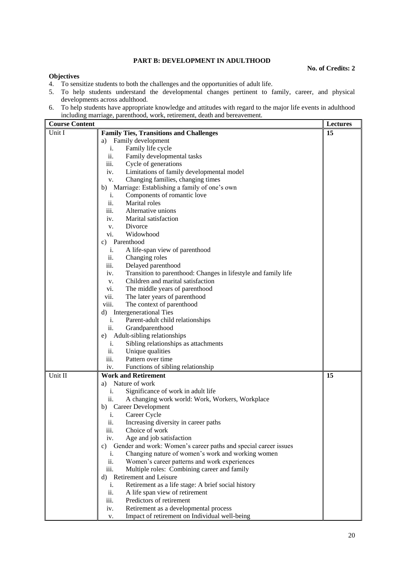# **PART B: DEVELOPMENT IN ADULTHOOD**

#### **No. of Credits: 2**

#### **Objectives**

- 4. To sensitize students to both the challenges and the opportunities of adult life.
- 5. To help students understand the developmental changes pertinent to family, career, and physical developments across adulthood.
- 6. To help students have appropriate knowledge and attitudes with regard to the major life events in adulthood including marriage, parenthood, work, retirement, death and bereavement.

| <b>Course Content</b> |                                                                       | <b>Lectures</b> |
|-----------------------|-----------------------------------------------------------------------|-----------------|
| Unit I                | <b>Family Ties, Transitions and Challenges</b>                        | 15              |
|                       | a) Family development                                                 |                 |
|                       | Family life cycle<br>i.                                               |                 |
|                       | ii.<br>Family developmental tasks                                     |                 |
|                       | iii.<br>Cycle of generations                                          |                 |
|                       | Limitations of family developmental model<br>iv.                      |                 |
|                       | Changing families, changing times<br>V.                               |                 |
|                       | b) Marriage: Establishing a family of one's own                       |                 |
|                       | Components of romantic love<br>i.                                     |                 |
|                       | ii.<br>Marital roles                                                  |                 |
|                       | iii.<br>Alternative unions                                            |                 |
|                       | iv.<br>Marital satisfaction                                           |                 |
|                       | Divorce<br>V.                                                         |                 |
|                       | Widowhood<br>vi.                                                      |                 |
|                       | Parenthood<br>c)                                                      |                 |
|                       | A life-span view of parenthood<br>i.                                  |                 |
|                       | ii.<br>Changing roles                                                 |                 |
|                       | iii.<br>Delayed parenthood                                            |                 |
|                       | Transition to parenthood: Changes in lifestyle and family life<br>iv. |                 |
|                       | Children and marital satisfaction<br>V.                               |                 |
|                       | The middle years of parenthood<br>vi.                                 |                 |
|                       | vii.<br>The later years of parenthood                                 |                 |
|                       | viii.<br>The context of parenthood                                    |                 |
|                       | <b>Intergenerational Ties</b><br>d)                                   |                 |
|                       | i.<br>Parent-adult child relationships                                |                 |
|                       | ii.<br>Grandparenthood                                                |                 |
|                       | Adult-sibling relationships<br>e)                                     |                 |
|                       | Sibling relationships as attachments<br>i.                            |                 |
|                       | ii.<br>Unique qualities                                               |                 |
|                       | iii.<br>Pattern over time                                             |                 |
|                       | Functions of sibling relationship<br>iv.                              |                 |
| Unit II               | <b>Work and Retirement</b>                                            | 15              |
|                       | Nature of work<br>a)                                                  |                 |
|                       | Significance of work in adult life<br>i.                              |                 |
|                       | A changing work world: Work, Workers, Workplace<br>ii.                |                 |
|                       | b) Career Development                                                 |                 |
|                       | Career Cycle<br>$\mathbf{1}$ .                                        |                 |
|                       | ii.<br>Increasing diversity in career paths                           |                 |
|                       | iii.<br>Choice of work                                                |                 |
|                       | Age and job satisfaction<br>iv.                                       |                 |
|                       | Gender and work: Women's career paths and special career issues<br>c) |                 |
|                       | Changing nature of women's work and working women<br>i.               |                 |
|                       | ii.<br>Women's career patterns and work experiences                   |                 |
|                       | iii.<br>Multiple roles: Combining career and family                   |                 |
|                       | d) Retirement and Leisure                                             |                 |
|                       | Retirement as a life stage: A brief social history<br>i.              |                 |
|                       | ii.<br>A life span view of retirement                                 |                 |
|                       | iii.<br>Predictors of retirement                                      |                 |
|                       | Retirement as a developmental process<br>iv.                          |                 |
|                       | Impact of retirement on Individual well-being<br>v.                   |                 |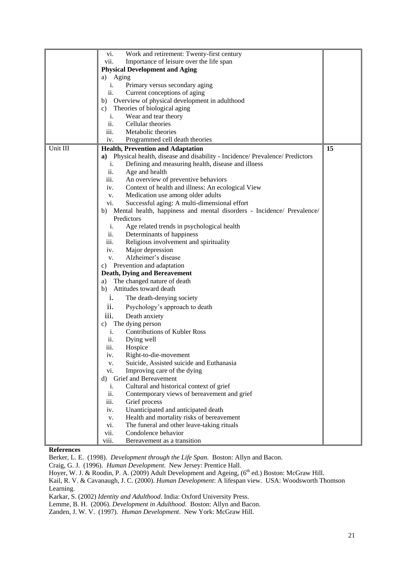|          | vi.<br>Work and retirement: Twenty-first century                                               |    |
|----------|------------------------------------------------------------------------------------------------|----|
|          | Importance of leisure over the life span<br>vii.                                               |    |
|          | <b>Physical Development and Aging</b>                                                          |    |
|          | Aging<br>a)                                                                                    |    |
|          | Primary versus secondary aging<br>i.                                                           |    |
|          | ii.<br>Current conceptions of aging                                                            |    |
|          | Overview of physical development in adulthood<br>b)                                            |    |
|          | Theories of biological aging<br>C)                                                             |    |
|          | i.<br>Wear and tear theory                                                                     |    |
|          | ii.<br>Cellular theories                                                                       |    |
|          | iii.<br>Metabolic theories                                                                     |    |
|          | iv.<br>Programmed cell death theories                                                          |    |
| Unit III | <b>Health, Prevention and Adaptation</b>                                                       | 15 |
|          | a) Physical health, disease and disability - Incidence/ Prevalence/ Predictors                 |    |
|          | i.                                                                                             |    |
|          | Defining and measuring health, disease and illness<br>ii.                                      |    |
|          | Age and health<br>iii.                                                                         |    |
|          | An overview of preventive behaviors<br>iv.                                                     |    |
|          | Context of health and illness: An ecological View                                              |    |
|          | Medication use among older adults<br>V.<br>Successful aging: A multi-dimensional effort<br>vi. |    |
|          |                                                                                                |    |
|          | b) Mental health, happiness and mental disorders - Incidence/ Prevalence/<br>Predictors        |    |
|          | i.<br>Age related trends in psychological health                                               |    |
|          | ii.                                                                                            |    |
|          | Determinants of happiness<br>iii.                                                              |    |
|          | Religious involvement and spirituality                                                         |    |
|          | Major depression<br>iv.<br>Alzheimer's disease                                                 |    |
|          | V.                                                                                             |    |
|          | c) Prevention and adaptation                                                                   |    |
|          | <b>Death, Dying and Bereavement</b><br>The changed nature of death<br>a)                       |    |
|          | b)<br>Attitudes toward death                                                                   |    |
|          |                                                                                                |    |
|          | $\mathbf{1}$ .<br>The death-denying society                                                    |    |
|          | ii.<br>Psychology's approach to death                                                          |    |
|          | Death anxiety<br>111.                                                                          |    |
|          | The dying person<br>C)                                                                         |    |
|          | <b>Contributions of Kubler Ross</b><br>i.                                                      |    |
|          | ii.<br>Dying well                                                                              |    |
|          | iii.<br>Hospice                                                                                |    |
|          | Right-to-die-movement<br>1V.                                                                   |    |
|          | Suicide, Assisted suicide and Euthanasia<br>V.                                                 |    |
|          | Improving care of the dying<br>vi.                                                             |    |
|          | Grief and Bereavement<br>d)                                                                    |    |
|          | Cultural and historical context of grief<br>i.                                                 |    |
|          | ii.<br>Contemporary views of bereavement and grief                                             |    |
|          | iii.<br>Grief process                                                                          |    |
|          | Unanticipated and anticipated death<br>iv.                                                     |    |
|          | Health and mortality risks of bereavement<br>v.                                                |    |
|          | The funeral and other leave-taking rituals<br>vi.                                              |    |
|          | vii.<br>Condolence behavior                                                                    |    |
|          | viii.<br>Bereavement as a transition                                                           |    |

# **References**

Berker, L. E. (1998). *Development through the Life Span*. Boston: Allyn and Bacon.

Craig, G. J. (1996). *Human Development*. New Jersey: Prentice Hall.

Hoyer, W. J. & Roodin, P. A. (2009) Adult Development and Ageing, (6<sup>th</sup> ed.) Boston: McGraw Hill.

Kail, R. V. & Cavanaugh, J. C. (2000). *Human Development*: A lifespan view. USA: Woodsworth Thomson Learning.

Karkar, S. (2002) *Identity and Adulthood*. India: Oxford University Press.

Lemme, B. H. (2006). *Development in Adulthood*. Boston: Allyn and Bacon.

Zanden, J. W. V. (1997). *Human Development*. New York: McGraw Hill.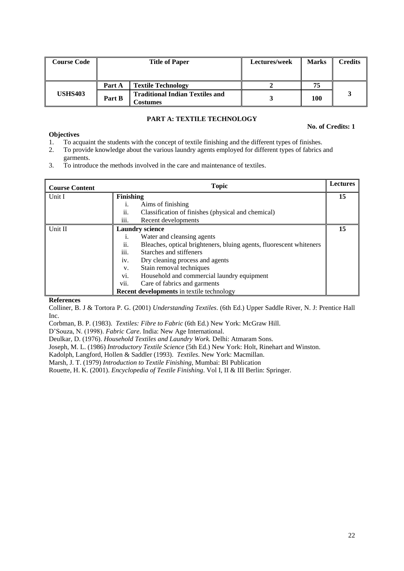| <b>Course Code</b> | <b>Title of Paper</b> |                                                    | Lectures/week | <b>Marks</b> | Credits |
|--------------------|-----------------------|----------------------------------------------------|---------------|--------------|---------|
|                    | Part A                | <b>Textile Technology</b>                          |               |              |         |
| <b>USHS403</b>     | Part B                | <b>Traditional Indian Textiles and</b><br>bostumes |               | 100          |         |

# **PART A: TEXTILE TECHNOLOGY**

#### **No. of Credits: 1**

## **Objectives**

- 1. To acquaint the students with the concept of textile finishing and the different types of finishes.
- 2. To provide knowledge about the various laundry agents employed for different types of fabrics and garments.
- 3. To introduce the methods involved in the care and maintenance of textiles.

| <b>Course Content</b> | <b>Topic</b>                                                               | <b>Lectures</b> |
|-----------------------|----------------------------------------------------------------------------|-----------------|
| Unit I                | <b>Finishing</b>                                                           | 15              |
|                       | Aims of finishing                                                          |                 |
|                       | ii.<br>Classification of finishes (physical and chemical)                  |                 |
|                       | $\cdots$<br>Recent developments<br>111.                                    |                 |
| Unit II               | <b>Laundry science</b>                                                     | 15              |
|                       | Water and cleansing agents<br>1.                                           |                 |
|                       | ii.<br>Bleaches, optical brighteners, bluing agents, fluorescent whiteners |                 |
|                       | iii.<br>Starches and stiffeners                                            |                 |
|                       | iv.<br>Dry cleaning process and agents                                     |                 |
|                       | Stain removal techniques<br>V.                                             |                 |
|                       | vi.<br>Household and commercial laundry equipment                          |                 |
|                       | vii.<br>Care of fabrics and garments                                       |                 |
|                       | <b>Recent developments</b> in textile technology                           |                 |

### **References**

Colliner, B. J & Tortora P. G. (2001) *Understanding Textiles*. (6th Ed.) Upper Saddle River, N. J: Prentice Hall Inc.

Corbman, B. P. (1983). *Textiles: Fibre to Fabric* (6th Ed.) New York: McGraw Hill.

D'Souza, N. (1998). *Fabric Care*. India: New Age International.

Deulkar, D. (1976). *Household Textiles and Laundry Work.* Delhi: Atmaram Sons.

Joseph, M. L. (1986) *Introductory Textile Science* (5th Ed.) New York: Holt, Rinehart and Winston.

Kadolph, Langford, Hollen & Saddler (1993). *Textiles*. New York: Macmillan.

Marsh, J. T. (1979) *Introduction to Textile Finishing*, Mumbai: BI Publication

Rouette, H. K. (2001). *Encyclopedia of Textile Finishing*. Vol I, II & III Berlin: Springer.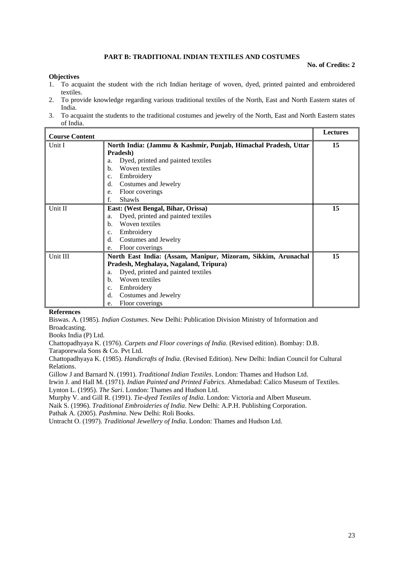### **PART B: TRADITIONAL INDIAN TEXTILES AND COSTUMES**

#### **No. of Credits: 2**

#### **Objectives**

- 1. To acquaint the student with the rich Indian heritage of woven, dyed, printed painted and embroidered textiles.
- 2. To provide knowledge regarding various traditional textiles of the North, East and North Eastern states of India.
- 3. To acquaint the students to the traditional costumes and jewelry of the North, East and North Eastern states of India.

| <b>Course Content</b> |                                                                            | <b>Lectures</b> |
|-----------------------|----------------------------------------------------------------------------|-----------------|
| Unit I                | North India: (Jammu & Kashmir, Punjab, Himachal Pradesh, Uttar<br>Pradesh) | 15              |
|                       | Dyed, printed and painted textiles<br>a.                                   |                 |
|                       | Woven textiles<br>b.                                                       |                 |
|                       | Embroidery<br>c.                                                           |                 |
|                       | Costumes and Jewelry<br>d.                                                 |                 |
|                       | Floor coverings<br>e.                                                      |                 |
|                       | Shawls<br>f.                                                               |                 |
| Unit II               | East: (West Bengal, Bihar, Orissa)                                         | 15              |
|                       | Dyed, printed and painted textiles<br>a.                                   |                 |
|                       | Woven textiles<br>b.                                                       |                 |
|                       | Embroidery<br>c.                                                           |                 |
|                       | Costumes and Jewelry<br>d.                                                 |                 |
|                       | Floor coverings<br>e.                                                      |                 |
| Unit III              | North East India: (Assam, Manipur, Mizoram, Sikkim, Arunachal              | 15              |
|                       | Pradesh, Meghalaya, Nagaland, Tripura)                                     |                 |
|                       | Dyed, printed and painted textiles<br>a.                                   |                 |
|                       | Woven textiles<br>b.                                                       |                 |
|                       | Embroidery<br>c.                                                           |                 |
|                       | Costumes and Jewelry<br>d.                                                 |                 |
|                       | Floor coverings<br>e.                                                      |                 |

#### **References**

Biswas. A. (1985). *Indian Costumes*. New Delhi: Publication Division Ministry of Information and Broadcasting.

Books India (P) Ltd.

Chattopadhyaya K. (1976). *Carpets and Floor coverings of India*. (Revised edition). Bombay: D.B. Taraporewala Sons & Co. Pvt Ltd.

Chattopadhyaya K. (1985). *Handicrafts of India*. (Revised Edition). New Delhi: Indian Council for Cultural Relations.

Gillow J and Barnard N. (1991). *Traditional Indian Textiles*. London: Thames and Hudson Ltd.

Irwin J. and Hall M. (1971). *Indian Painted and Printed Fabrics*. Ahmedabad: Calico Museum of Textiles. Lynton L. (1995). *The Sari*. London: Thames and Hudson Ltd.

Murphy V. and Gill R. (1991). *Tie-dyed Textiles of India*. London: Victoria and Albert Museum.

Naik S. (1996). *Traditional Embroideries of India*. New Delhi: A.P.H. Publishing Corporation.

Pathak A. (2005). *Pashmina*. New Delhi: Roli Books.

Untracht O. (1997). *Traditional Jewellery of India*. London: Thames and Hudson Ltd.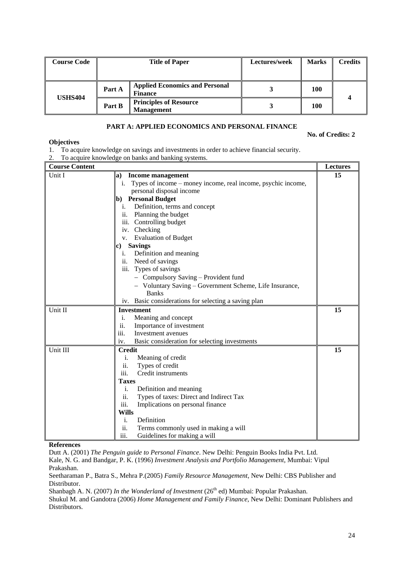| <b>Course Code</b> | <b>Title of Paper</b> |                                                         | Lectures/week | <b>Marks</b> | <b>Credits</b> |
|--------------------|-----------------------|---------------------------------------------------------|---------------|--------------|----------------|
|                    |                       |                                                         |               |              |                |
| <b>USHS404</b>     | Part A                | <b>Applied Economics and Personal</b><br><b>Finance</b> |               | 100          |                |
|                    | Part B                | <b>Principles of Resource</b><br><b>Management</b>      |               | 100          |                |

# **PART A: APPLIED ECONOMICS AND PERSONAL FINANCE**

#### **No. of Credits: 2**

#### **Objectives**

- 1. To acquire knowledge on savings and investments in order to achieve financial security.
- 2. To acquire knowledge on banks and banking systems.

| <b>Course Content</b> |                                                                 | <b>Lectures</b> |
|-----------------------|-----------------------------------------------------------------|-----------------|
| Unit I                | <b>Income management</b><br>a)                                  | 15              |
|                       | i. Types of income – money income, real income, psychic income, |                 |
|                       | personal disposal income                                        |                 |
|                       | b) Personal Budget                                              |                 |
|                       | i. Definition, terms and concept                                |                 |
|                       | ii. Planning the budget                                         |                 |
|                       | iii. Controlling budget                                         |                 |
|                       | iv. Checking                                                    |                 |
|                       | <b>Evaluation of Budget</b><br>V.                               |                 |
|                       | <b>Savings</b><br>c)                                            |                 |
|                       | Definition and meaning<br>i.                                    |                 |
|                       | ii. Need of savings                                             |                 |
|                       | iii. Types of savings                                           |                 |
|                       | - Compulsory Saving - Provident fund                            |                 |
|                       | - Voluntary Saving - Government Scheme, Life Insurance,         |                 |
|                       | <b>Banks</b>                                                    |                 |
|                       | iv. Basic considerations for selecting a saving plan            |                 |
| Unit II               | <b>Investment</b>                                               | 15              |
|                       | i.<br>Meaning and concept                                       |                 |
|                       | ii.<br>Importance of investment                                 |                 |
|                       | iii.<br>Investment avenues                                      |                 |
|                       | Basic consideration for selecting investments<br>iv.            |                 |
| Unit III              | <b>Credit</b>                                                   | 15              |
|                       | Meaning of credit<br>i.                                         |                 |
|                       | Types of credit<br>ii.                                          |                 |
|                       | iii.<br>Credit instruments                                      |                 |
|                       | <b>Taxes</b>                                                    |                 |
|                       | i.<br>Definition and meaning                                    |                 |
|                       | ii.<br>Types of taxes: Direct and Indirect Tax                  |                 |
|                       | iii.<br>Implications on personal finance                        |                 |
|                       | <b>Wills</b>                                                    |                 |
|                       | Definition<br>i.                                                |                 |
|                       | ii.<br>Terms commonly used in making a will                     |                 |
|                       | Guidelines for making a will<br>iii.                            |                 |

### **References**

Dutt A. (2001) *The Penguin guide to Personal Finance*. New Delhi: Penguin Books India Pvt. Ltd. Kale, N. G. and Bandgar, P. K. (1996) *Investment Analysis and Portfolio Management*, Mumbai: Vipul Prakashan.

Seetharaman P., Batra S., Mehra P.(2005) *Family Resource Management*, New Delhi: CBS Publisher and Distributor.

Shanbagh A. N. (2007) *In the Wonderland of Investment* (26<sup>th</sup> ed) Mumbai: Popular Prakashan.

Shukul M. and Gandotra (2006) *Home Management and Family Finance*, New Delhi: Dominant Publishers and Distributors.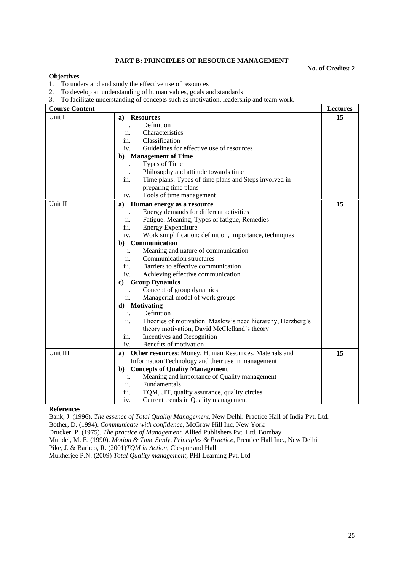# **PART B: PRINCIPLES OF RESOURCE MANAGEMENT**

**No. of Credits: 2**

### **Objectives**

- 1. To understand and study the effective use of resources
- 2. To develop an understanding of human values, goals and standards
- 3. To facilitate understanding of concepts such as motivation, leadership and team work.

| <b>Course Content</b> |                                                                    | <b>Lectures</b> |
|-----------------------|--------------------------------------------------------------------|-----------------|
| Unit I                | <b>Resources</b><br>a)                                             | 15              |
|                       | Definition<br>i.                                                   |                 |
|                       | ii.<br>Characteristics                                             |                 |
|                       | iii.<br>Classification                                             |                 |
|                       | Guidelines for effective use of resources<br>iv.                   |                 |
|                       | <b>Management of Time</b><br>b)                                    |                 |
|                       | Types of Time<br>i.                                                |                 |
|                       | ii.<br>Philosophy and attitude towards time                        |                 |
|                       | iii.<br>Time plans: Types of time plans and Steps involved in      |                 |
|                       | preparing time plans                                               |                 |
|                       | Tools of time management<br>iv.                                    |                 |
| Unit II               | a)<br>Human energy as a resource                                   | 15              |
|                       | Energy demands for different activities<br>i.                      |                 |
|                       | ii.<br>Fatigue: Meaning, Types of fatigue, Remedies                |                 |
|                       | iii.<br><b>Energy Expenditure</b>                                  |                 |
|                       | iv.<br>Work simplification: definition, importance, techniques     |                 |
|                       | Communication<br>$\mathbf{b}$ )                                    |                 |
|                       | Meaning and nature of communication<br>i.                          |                 |
|                       | Communication structures<br>ii.                                    |                 |
|                       | Barriers to effective communication<br>$\overline{111}$ .          |                 |
|                       | Achieving effective communication<br>iv.                           |                 |
|                       | <b>Group Dynamics</b><br>c)                                        |                 |
|                       | Concept of group dynamics<br>$\mathbf{1}$ .                        |                 |
|                       | ii.<br>Managerial model of work groups                             |                 |
|                       | d) Motivating                                                      |                 |
|                       | Definition<br>i.                                                   |                 |
|                       | ii.<br>Theories of motivation: Maslow's need hierarchy, Herzberg's |                 |
|                       | theory motivation, David McClelland's theory                       |                 |
|                       | Incentives and Recognition<br>iii.                                 |                 |
|                       | Benefits of motivation<br>iv.                                      |                 |
| Unit III              | Other resources: Money, Human Resources, Materials and<br>a)       | 15              |
|                       | Information Technology and their use in management                 |                 |
|                       | <b>Concepts of Quality Management</b><br>$\mathbf{b}$              |                 |
|                       | Meaning and importance of Quality management<br>i.                 |                 |
|                       | ii.<br>Fundamentals                                                |                 |
|                       | iii.<br>TQM, JIT, quality assurance, quality circles               |                 |
|                       | Current trends in Quality management<br>iv.                        |                 |

#### **References**

Bank, J. (1996). *The essence of Total Quality Management*, New Delhi: Practice Hall of India Pvt. Ltd.

Bother, D. (1994). *Communicate with confidence*, McGraw Hill Inc, New York

Drucker, P. (1975). *The practice of Management*. Allied Publishers Pvt. Ltd. Bombay

Mundel, M. E. (1990). *Motion & Time Study, Principles & Practice*, Prentice Hall Inc., New Delhi

Pike, J. & Barheo, R. (2001)*TQM in Action*, Clespur and Hall

Mukherjee P.N. (2009) *Total Quality management*, PHI Learning Pvt. Ltd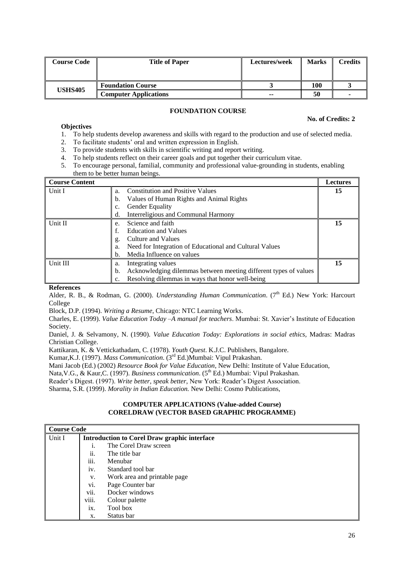| <b>Course Code</b> | <b>Title of Paper</b>        | Lectures/week            | <b>Marks</b> | <b>Credits</b> |
|--------------------|------------------------------|--------------------------|--------------|----------------|
|                    |                              |                          |              |                |
| <b>USHS405</b>     | <b>Foundation Course</b>     |                          | 100          |                |
|                    | <b>Computer Applications</b> | $\overline{\phantom{a}}$ | 50           |                |

# **FOUNDATION COURSE**

#### **No. of Credits: 2**

### **Objectives**

- 1. To help students develop awareness and skills with regard to the production and use of selected media.
- 2. To facilitate students' oral and written expression in English.
- 3. To provide students with skills in scientific writing and report writing.
- 4. To help students reflect on their career goals and put together their curriculum vitae.
- 5. To encourage personal, familial, community and professional value-grounding in students, enabling them to be better human beings.

| <b>Course Content</b> |                                                                        | <b>Lectures</b> |
|-----------------------|------------------------------------------------------------------------|-----------------|
| Unit I                | <b>Constitution and Positive Values</b><br>a.                          | 15              |
|                       | Values of Human Rights and Animal Rights<br>b.                         |                 |
|                       | <b>Gender Equality</b><br>C.                                           |                 |
|                       | Interreligious and Communal Harmony<br>d.                              |                 |
| Unit II               | Science and faith<br>e.                                                | 15              |
|                       | <b>Education and Values</b>                                            |                 |
|                       | Culture and Values<br>g.                                               |                 |
|                       | Need for Integration of Educational and Cultural Values<br>a.          |                 |
|                       | Media Influence on values<br>b.                                        |                 |
| Unit III              | Integrating values<br>a.                                               | 15              |
|                       | Acknowledging dilemmas between meeting different types of values<br>b. |                 |
|                       | Resolving dilemmas in ways that honor well-being                       |                 |

### **References**

Alder, R. B., & Rodman, G. (2000). *Understanding Human Communication*. (7th Ed.) New York: Harcourt College

Block, D.P. (1994). *Writing a Resume*, Chicago: NTC Learning Works.

Charles, E. (1999). *Value Education Today –A manual for teachers*. Mumbai: St. Xavier's Institute of Education Society.

Daniel, J. & Selvamony, N. (1990). *Value Education Today: Explorations in social ethics,* Madras: Madras Christian College.

Kattikaran, K. & Vettickathadam, C. (1978). *Youth Quest*. K.J.C. Publishers, Bangalore.

Kumar,K.J. (1997). *Mass Communication*. (3rd Ed.)Mumbai: Vipul Prakashan.

Mani Jacob (Ed.) (2002) *Resource Book for Value Education*, New Delhi: Institute of Value Education,

Nata, V.G., & Kaur, C. (1997). *Business communication*. (5<sup>th</sup> Ed.) Mumbai: Vipul Prakashan.

Reader's Digest. (1997). *Write better, speak better*, New York: Reader's Digest Association.

Sharma, S.R. (1999). *Morality in Indian Education.* New Delhi: Cosmo Publications,

# **COMPUTER APPLICATIONS (Value-added Course) CORELDRAW (VECTOR BASED GRAPHIC PROGRAMME)**

|        | Course Code |                                                     |  |  |
|--------|-------------|-----------------------------------------------------|--|--|
| Unit I |             | <b>Introduction to Corel Draw graphic interface</b> |  |  |
|        | 1.          | The Corel Draw screen                               |  |  |
|        | ii.         | The title bar                                       |  |  |
|        | iii.        | Menubar                                             |  |  |
|        | iv.         | Standard tool bar                                   |  |  |
|        | V.          | Work area and printable page                        |  |  |
|        | vi.         | Page Counter bar                                    |  |  |
|        | vii.        | Docker windows                                      |  |  |
|        | viii.       | Colour palette                                      |  |  |
|        | ix.         | Tool box                                            |  |  |
|        | X.          | Status bar                                          |  |  |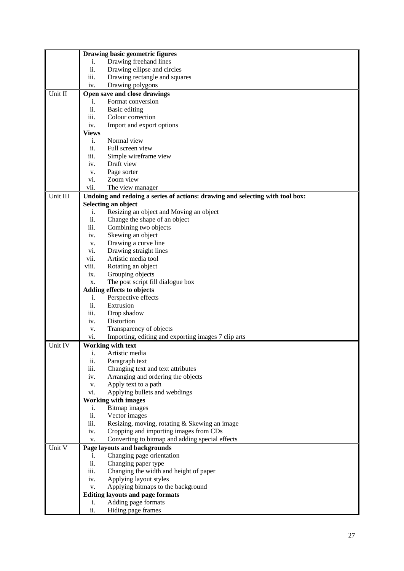|          | Drawing basic geometric figures                                               |
|----------|-------------------------------------------------------------------------------|
|          | Drawing freehand lines<br>i.                                                  |
|          | ii.<br>Drawing ellipse and circles                                            |
|          | iii.<br>Drawing rectangle and squares                                         |
|          | Drawing polygons<br>iv.                                                       |
| Unit II  | Open save and close drawings                                                  |
|          | Format conversion<br>i.                                                       |
|          | ii.<br>Basic editing                                                          |
|          | iii.<br>Colour correction                                                     |
|          | Import and export options<br>iv.                                              |
|          | <b>Views</b>                                                                  |
|          | Normal view<br>i.                                                             |
|          | ii.<br>Full screen view                                                       |
|          | Simple wireframe view<br>iii.                                                 |
|          | Draft view<br>iv.                                                             |
|          | Page sorter<br>V.                                                             |
|          | Zoom view<br>vi.                                                              |
|          | vii.<br>The view manager                                                      |
| Unit III | Undoing and redoing a series of actions: drawing and selecting with tool box: |
|          | Selecting an object                                                           |
|          | Resizing an object and Moving an object<br>i.                                 |
|          | ii.<br>Change the shape of an object                                          |
|          | iii.<br>Combining two objects                                                 |
|          | Skewing an object<br>iv.                                                      |
|          | Drawing a curve line<br>v.                                                    |
|          | Drawing straight lines<br>vi.                                                 |
|          | vii.<br>Artistic media tool                                                   |
|          | viii.<br>Rotating an object                                                   |
|          | Grouping objects<br>ix.                                                       |
|          | The post script fill dialogue box<br>X.                                       |
|          | Adding effects to objects                                                     |
|          | Perspective effects<br>i.                                                     |
|          | ii.<br>Extrusion                                                              |
|          | iii.<br>Drop shadow                                                           |
|          | Distortion<br>iv.                                                             |
|          | Transparency of objects<br>v.                                                 |
|          | Importing, editing and exporting images 7 clip arts<br>vi.                    |
| Unit IV  | Working with text                                                             |
|          | i. Artistic media                                                             |
|          | ii.<br>Paragraph text                                                         |
|          | iii.<br>Changing text and text attributes                                     |
|          | Arranging and ordering the objects<br>iv.                                     |
|          | Apply text to a path<br>v.                                                    |
|          | Applying bullets and webdings<br>vi.                                          |
|          | <b>Working with images</b>                                                    |
|          | Bitmap images<br>$\mathbf{1}$ .                                               |
|          | ii.<br>Vector images                                                          |
|          | iii.<br>Resizing, moving, rotating & Skewing an image                         |
|          | Cropping and importing images from CDs<br>iv.                                 |
|          | Converting to bitmap and adding special effects<br>v.                         |
| Unit V   | Page layouts and backgrounds                                                  |
|          | Changing page orientation<br>i.                                               |
|          | ii.<br>Changing paper type                                                    |
|          | iii.<br>Changing the width and height of paper                                |
|          | Applying layout styles<br>iv.                                                 |
|          | Applying bitmaps to the background<br>V.                                      |
|          | <b>Editing layouts and page formats</b>                                       |
|          | Adding page formats<br>i.                                                     |
|          | ii.<br>Hiding page frames                                                     |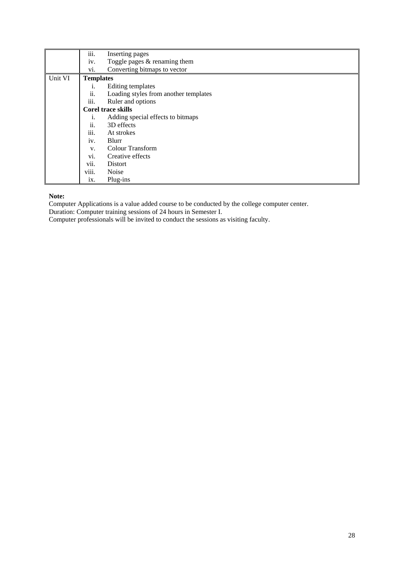|         | iii.                      | Inserting pages                       |  |  |
|---------|---------------------------|---------------------------------------|--|--|
|         | iv.                       | Toggle pages $&$ renaming them        |  |  |
|         | vi.                       | Converting bitmaps to vector          |  |  |
| Unit VI | <b>Templates</b>          |                                       |  |  |
|         | i.                        | Editing templates                     |  |  |
|         | ii.                       | Loading styles from another templates |  |  |
|         | iii.<br>Ruler and options |                                       |  |  |
|         | <b>Corel trace skills</b> |                                       |  |  |
|         | 1.                        | Adding special effects to bitmaps     |  |  |
|         | ii.                       | 3D effects                            |  |  |
|         | iii.                      | At strokes                            |  |  |
|         | iv.                       | Blurr                                 |  |  |
|         | V.                        | <b>Colour Transform</b>               |  |  |
|         | vi.                       | Creative effects                      |  |  |
|         | $\cdot \cdot$<br>V11.     | Distort                               |  |  |
|         | viii.                     | Noise                                 |  |  |
|         | ix.                       | Plug-ins                              |  |  |

# **Note:**

Computer Applications is a value added course to be conducted by the college computer center.

Duration: Computer training sessions of 24 hours in Semester I.

Computer professionals will be invited to conduct the sessions as visiting faculty.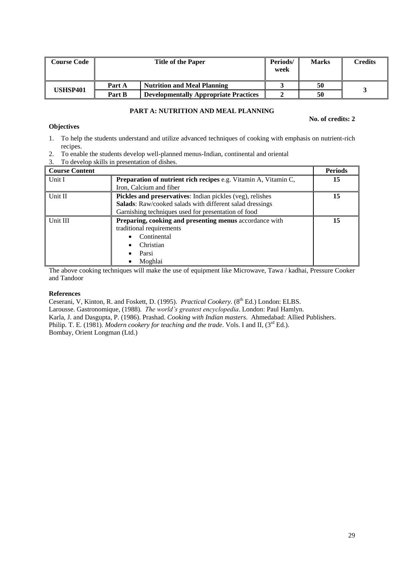| Course Code | <b>Title of the Paper</b> |                                              | Periods/<br>week | <b>Marks</b> | <b>Credits</b> |
|-------------|---------------------------|----------------------------------------------|------------------|--------------|----------------|
|             | Part A                    | <b>Nutrition and Meal Planning</b>           |                  | 50           |                |
| USHSP401    | Part B                    | <b>Developmentally Appropriate Practices</b> |                  | 50           |                |

# **PART A: NUTRITION AND MEAL PLANNING**

## **No. of credits: 2**

- 1. To help the students understand and utilize advanced techniques of cooking with emphasis on nutrient-rich recipes.
- 2. To enable the students develop well-planned menus-Indian, continental and oriental
- 3. To develop skills in presentation of dishes.

| <b>Course Content</b> |                                                                 | <b>Periods</b> |
|-----------------------|-----------------------------------------------------------------|----------------|
| Unit I                | Preparation of nutrient rich recipes e.g. Vitamin A, Vitamin C, | 15             |
|                       | Iron, Calcium and fiber                                         |                |
| Unit II               | Pickles and preservatives: Indian pickles (veg), relishes       | 15             |
|                       | Salads: Raw/cooked salads with different salad dressings        |                |
|                       | Garnishing techniques used for presentation of food             |                |
| Unit III              | Preparing, cooking and presenting menus accordance with         | 15             |
|                       | traditional requirements                                        |                |
|                       | Continental                                                     |                |
|                       | Christian                                                       |                |
|                       | Parsi                                                           |                |
|                       | Moghlai                                                         |                |

The above cooking techniques will make the use of equipment like Microwave, Tawa / kadhai, Pressure Cooker and Tandoor

# **References**

**Objectives**

Ceserani, V, Kinton, R. and Foskett, D. (1995). *Practical Cookery.* (8th Ed.) London: ELBS. Larousse. Gastronomique, (1988). *The world's greatest encyclopedia*. London: Paul Hamlyn. Karla, J. and Dasgupta, P. (1986). Prashad. *Cooking with Indian masters*. Ahmedabad: Allied Publishers. Philip. T. E. (1981). *Modern cookery for teaching and the trade*. Vols. I and II, (3<sup>rd</sup> Ed.). Bombay, Orient Longman (Ltd.)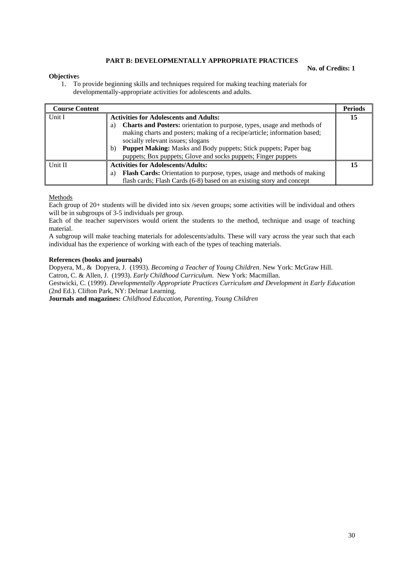## **PART B: DEVELOPMENTALLY APPROPRIATE PRACTICES**

#### **Objective**s

**No. of Credits: 1**

1. To provide beginning skills and techniques required for making teaching materials for developmentally-appropriate activities for adolescents and adults.

| <b>Course Content</b> |                                                                               | <b>Periods</b> |
|-----------------------|-------------------------------------------------------------------------------|----------------|
| Unit I                | <b>Activities for Adolescents and Adults:</b>                                 | 15             |
|                       | Charts and Posters: orientation to purpose, types, usage and methods of<br>a) |                |
|                       | making charts and posters; making of a recipe/article; information based;     |                |
|                       | socially relevant issues; slogans                                             |                |
|                       | <b>Puppet Making:</b> Masks and Body puppets; Stick puppets; Paper bag<br>b)  |                |
|                       | puppets; Box puppets; Glove and socks puppets; Finger puppets                 |                |
| Unit II               | <b>Activities for Adolescents/Adults:</b>                                     | 15             |
|                       | Flash Cards: Orientation to purpose, types, usage and methods of making<br>a) |                |
|                       | flash cards; Flash Cards (6-8) based on an existing story and concept         |                |

#### Methods

Each group of 20+ students will be divided into six /seven groups; some activities will be individual and others will be in subgroups of 3-5 individuals per group.

Each of the teacher supervisors would orient the students to the method, technique and usage of teaching material.

A subgroup will make teaching materials for adolescents/adults. These will vary across the year such that each individual has the experience of working with each of the types of teaching materials.

#### **References (books and journals)**

Dopyera, M., & Dopyera, J. (1993). *Becoming a Teacher of Young Children*. New York: McGraw Hill. Catron, C. & Allen, J. (1993). *Early Childhood Curriculum*. New York: Macmillan. Gestwicki, C. (1999). *Developmentally Appropriate Practices Curriculum and Development in Early Education*  (2nd Ed.). Clifton Park, NY: Delmar Learning.

**Journals and magazines:** *Childhood Education, Parenting, Young Children*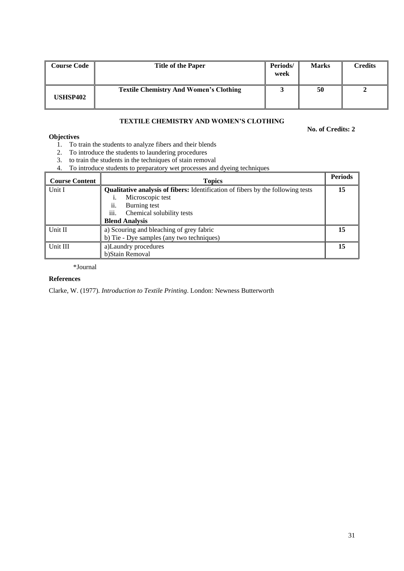| <b>Course Code</b> | <b>Title of the Paper</b>                     | Periods/<br>week | <b>Marks</b> | Credits |
|--------------------|-----------------------------------------------|------------------|--------------|---------|
| <b>USHSP402</b>    | <b>Textile Chemistry And Women's Clothing</b> |                  | 50           |         |

# **TEXTILE CHEMISTRY AND WOMEN'S CLOTHING**

## **No. of Credits: 2**

# **Objectives**

- 1. To train the students to analyze fibers and their blends
- 2. To introduce the students to laundering procedures
- 3. to train the students in the techniques of stain removal
- 4. To introduce students to preparatory wet processes and dyeing techniques

| <b>Course Content</b> | <b>Topics</b>                                                                                              | <b>Periods</b> |
|-----------------------|------------------------------------------------------------------------------------------------------------|----------------|
| Unit I                | <b>Qualitative analysis of fibers:</b> Identification of fibers by the following tests<br>Microscopic test |                |
|                       | Burning test<br>11.<br>iii.<br>Chemical solubility tests<br><b>Blend Analysis</b>                          |                |
| Unit II               | a) Scouring and bleaching of grey fabric<br>b) Tie - Dye samples (any two techniques)                      | 15             |
| Unit III              | a)Laundry procedures<br>b)Stain Removal                                                                    | 15             |

\*Journal

# **References**

Clarke, W. (1977). *Introduction to Textile Printing*. London: Newness Butterworth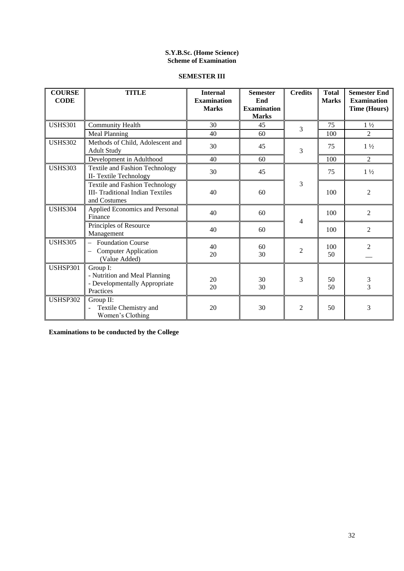# **S.Y.B.Sc. (Home Science) Scheme of Examination**

# **SEMESTER III**

| <b>COURSE</b><br><b>CODE</b> | <b>TITLE</b>                                                                                     | <b>Internal</b><br><b>Examination</b><br><b>Marks</b> | <b>Semester</b><br>End<br><b>Examination</b><br><b>Marks</b> | <b>Credits</b> | <b>Total</b><br><b>Marks</b> | <b>Semester End</b><br><b>Examination</b><br><b>Time (Hours)</b> |
|------------------------------|--------------------------------------------------------------------------------------------------|-------------------------------------------------------|--------------------------------------------------------------|----------------|------------------------------|------------------------------------------------------------------|
| <b>USHS301</b>               | <b>Community Health</b>                                                                          | 30                                                    | 45                                                           | 3              | 75                           | $1\frac{1}{2}$                                                   |
|                              | <b>Meal Planning</b>                                                                             | 40                                                    | 60                                                           |                | 100                          | 2                                                                |
| <b>USHS302</b>               | Methods of Child, Adolescent and<br><b>Adult Study</b>                                           | 30                                                    | 45                                                           | 3              | 75                           | $1\frac{1}{2}$                                                   |
|                              | Development in Adulthood                                                                         | 40                                                    | 60                                                           |                | 100                          | 2                                                                |
| <b>USHS303</b>               | <b>Textile and Fashion Technology</b><br>II- Textile Technology                                  | 30                                                    | 45                                                           |                | 75                           | $1\frac{1}{2}$                                                   |
|                              | <b>Textile and Fashion Technology</b><br><b>III-</b> Traditional Indian Textiles<br>and Costumes | 40                                                    | 60                                                           | 3              | 100                          | $\overline{2}$                                                   |
| <b>USHS304</b>               | Applied Economics and Personal<br>Finance                                                        | 40                                                    | 60                                                           | 4              | 100                          | $\overline{2}$                                                   |
|                              | Principles of Resource<br>Management                                                             | 40                                                    | 60                                                           |                | 100                          | $\overline{2}$                                                   |
| <b>USHS305</b>               | <b>Foundation Course</b><br><b>Computer Application</b><br>(Value Added)                         | 40<br>20                                              | 60<br>30                                                     | $\overline{2}$ | 100<br>50                    | $\overline{2}$                                                   |
| <b>USHSP301</b>              | Group I:<br>- Nutrition and Meal Planning<br>- Developmentally Appropriate<br>Practices          | 20<br>20                                              | 30<br>30                                                     | 3              | 50<br>50                     | $\frac{3}{3}$                                                    |
| USHSP302                     | Group II:<br>Textile Chemistry and<br>Women's Clothing                                           | 20                                                    | 30                                                           | $\overline{2}$ | 50                           | 3                                                                |

**Examinations to be conducted by the College**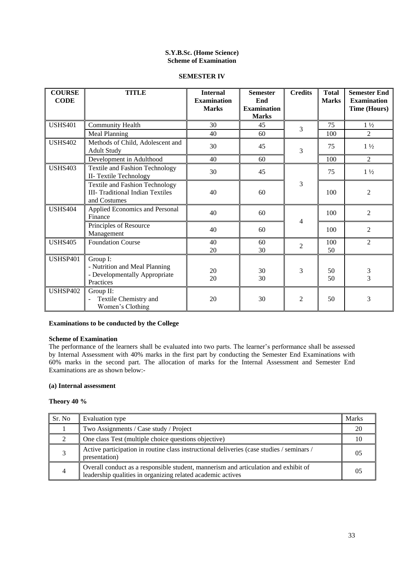# **S.Y.B.Sc. (Home Science) Scheme of Examination**

#### **SEMESTER IV**

| <b>COURSE</b><br><b>CODE</b> | <b>TITLE</b>                                                                                     | <b>Internal</b><br><b>Examination</b><br><b>Marks</b> | <b>Semester</b><br>End<br><b>Examination</b><br><b>Marks</b> | <b>Credits</b> | <b>Total</b><br><b>Marks</b> | <b>Semester End</b><br><b>Examination</b><br><b>Time (Hours)</b> |
|------------------------------|--------------------------------------------------------------------------------------------------|-------------------------------------------------------|--------------------------------------------------------------|----------------|------------------------------|------------------------------------------------------------------|
| <b>USHS401</b>               | Community Health                                                                                 | 30                                                    | 45                                                           | 3              | 75                           | $1\frac{1}{2}$                                                   |
|                              | <b>Meal Planning</b>                                                                             | 40                                                    | 60                                                           |                | 100                          | 2                                                                |
| <b>USHS402</b>               | Methods of Child, Adolescent and<br><b>Adult Study</b>                                           | 30                                                    | 45                                                           | 3              | 75                           | $1\frac{1}{2}$                                                   |
|                              | Development in Adulthood                                                                         | 40                                                    | 60                                                           |                | 100                          | 2                                                                |
| <b>USHS403</b>               | <b>Textile and Fashion Technology</b><br>II- Textile Technology                                  | 30                                                    | 45                                                           |                | 75                           | $1\frac{1}{2}$                                                   |
|                              | <b>Textile and Fashion Technology</b><br><b>III-</b> Traditional Indian Textiles<br>and Costumes | 40                                                    | 60                                                           | 3              | 100                          | $\overline{2}$                                                   |
| <b>USHS404</b>               | Applied Economics and Personal<br>Finance                                                        | 40                                                    | 60                                                           | 4              | 100                          | $\overline{2}$                                                   |
|                              | Principles of Resource<br>Management                                                             | 40                                                    | 60                                                           |                | 100                          | $\overline{2}$                                                   |
| <b>USHS405</b>               | <b>Foundation Course</b>                                                                         | 40<br>20                                              | 60<br>30                                                     | $\overline{2}$ | 100<br>50                    | $\overline{2}$                                                   |
| <b>USHSP401</b>              | Group I:<br>- Nutrition and Meal Planning<br>- Developmentally Appropriate<br>Practices          | 20<br>20                                              | 30<br>30                                                     | 3              | 50<br>50                     | 3<br>$\overline{3}$                                              |
| <b>USHSP402</b>              | Group II:<br>Textile Chemistry and<br>Women's Clothing                                           | 20                                                    | 30                                                           | $\overline{2}$ | 50                           | 3                                                                |

# **Examinations to be conducted by the College**

### **Scheme of Examination**

The performance of the learners shall be evaluated into two parts. The learner's performance shall be assessed by Internal Assessment with 40% marks in the first part by conducting the Semester End Examinations with 60% marks in the second part. The allocation of marks for the Internal Assessment and Semester End Examinations are as shown below:-

### **(a) Internal assessment**

#### **Theory 40 %**

| Sr. No | <b>Evaluation type</b>                                                                                                                             | Marks |
|--------|----------------------------------------------------------------------------------------------------------------------------------------------------|-------|
|        | Two Assignments / Case study / Project                                                                                                             |       |
|        | One class Test (multiple choice questions objective)                                                                                               |       |
|        | Active participation in routine class instructional deliveries (case studies / seminars /<br>presentation)                                         | 05    |
|        | Overall conduct as a responsible student, mannerism and articulation and exhibit of<br>leadership qualities in organizing related academic actives | 0.5   |